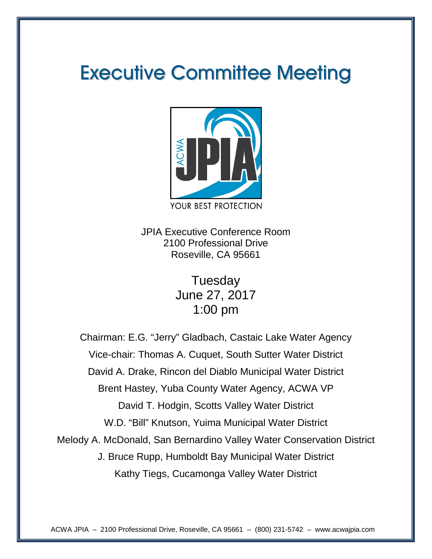# Executive Committee Meeting



JPIA Executive Conference Room 2100 Professional Drive Roseville, CA 95661

> **Tuesday** June 27, 2017 1:00 pm

Chairman: E.G. "Jerry" Gladbach, Castaic Lake Water Agency Vice-chair: Thomas A. Cuquet, South Sutter Water District David A. Drake, Rincon del Diablo Municipal Water District Brent Hastey, Yuba County Water Agency, ACWA VP David T. Hodgin, Scotts Valley Water District W.D. "Bill" Knutson, Yuima Municipal Water District Melody A. McDonald, San Bernardino Valley Water Conservation District J. Bruce Rupp, Humboldt Bay Municipal Water District Kathy Tiegs, Cucamonga Valley Water District

ACWA JPIA – 2100 Professional Drive, Roseville, CA 95661 – (800) 231-5742 – www.acwajpia.com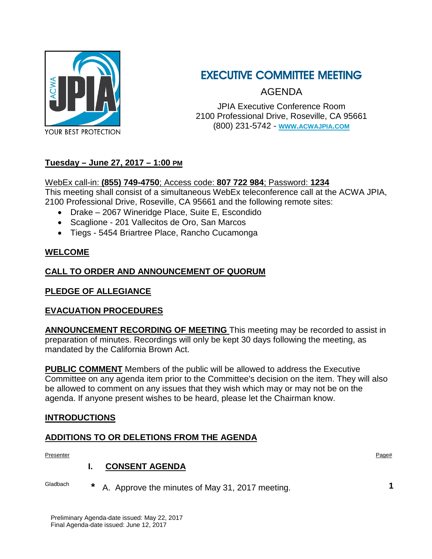

## EXECUTIVE COMMITTEE MEETING

AGENDA

JPIA Executive Conference Room 2100 Professional Drive, Roseville, CA 95661 (800) 231-5742 - **[WWW.ACWAJPIA.COM](http://www.acwajpia.com/)**

#### **Tuesday – June 27, 2017 – 1:00 PM**

#### WebEx call-in: **(855) 749-4750**; Access code: **807 722 984**; Password: **1234**

This meeting shall consist of a simultaneous WebEx teleconference call at the ACWA JPIA, 2100 Professional Drive, Roseville, CA 95661 and the following remote sites:

- Drake 2067 Wineridge Place, Suite E, Escondido
- Scaglione 201 Vallecitos de Oro, San Marcos
- Tiegs 5454 Briartree Place, Rancho Cucamonga

#### **WELCOME**

#### **CALL TO ORDER AND ANNOUNCEMENT OF QUORUM**

#### **PLEDGE OF ALLEGIANCE**

#### **EVACUATION PROCEDURES**

**ANNOUNCEMENT RECORDING OF MEETING** This meeting may be recorded to assist in preparation of minutes. Recordings will only be kept 30 days following the meeting, as mandated by the California Brown Act.

**PUBLIC COMMENT** Members of the public will be allowed to address the Executive Committee on any agenda item prior to the Committee's decision on the item. They will also be allowed to comment on any issues that they wish which may or may not be on the agenda. If anyone present wishes to be heard, please let the Chairman know.

#### **INTRODUCTIONS**

#### **ADDITIONS TO OR DELETIONS FROM THE AGENDA**

Presenter Presenter Page to the Second Contract of the Second Contract of the Second Contract of the Page to the Page to the Page to the Page to the Page to the Page to the Page to the Page to the Page to the Page to the P

#### **I. CONSENT AGENDA**

Gladbach **\*** A. Approve the minutes of May 31, 2017 meeting. **1**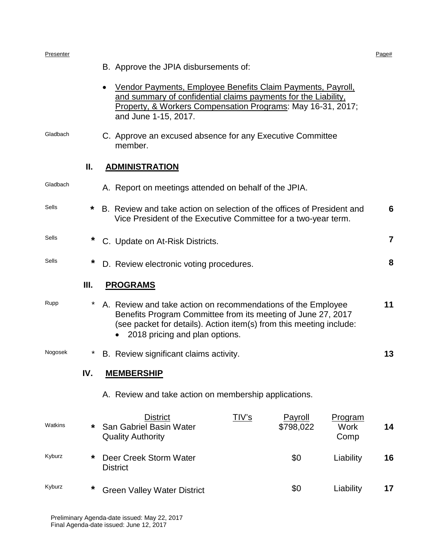#### Presenter Presenter Page to the Second Contract of the Second Contract of the Second Contract of the Page to the Page to the Page to the Page to the Page to the Page to the Page to the Page to the Page to the Page to the P

|          |     | B. Approve the JPIA disbursements of:                                                                                                                                                                                                 |    |  |  |  |
|----------|-----|---------------------------------------------------------------------------------------------------------------------------------------------------------------------------------------------------------------------------------------|----|--|--|--|
|          |     | Vendor Payments, Employee Benefits Claim Payments, Payroll,<br>$\bullet$<br>and summary of confidential claims payments for the Liability,<br>Property, & Workers Compensation Programs: May 16-31, 2017;<br>and June 1-15, 2017.     |    |  |  |  |
| Gladbach |     | C. Approve an excused absence for any Executive Committee<br>member.                                                                                                                                                                  |    |  |  |  |
|          | Ш.  | <b>ADMINISTRATION</b>                                                                                                                                                                                                                 |    |  |  |  |
| Gladbach |     | A. Report on meetings attended on behalf of the JPIA.                                                                                                                                                                                 |    |  |  |  |
| Sells    | *   | B. Review and take action on selection of the offices of President and<br>Vice President of the Executive Committee for a two-year term.                                                                                              | 6  |  |  |  |
| Sells    | *   | C. Update on At-Risk Districts.                                                                                                                                                                                                       | 7  |  |  |  |
| Sells    | *   | D. Review electronic voting procedures.                                                                                                                                                                                               |    |  |  |  |
|          | Ш.  | <b>PROGRAMS</b>                                                                                                                                                                                                                       |    |  |  |  |
| Rupp     |     | A. Review and take action on recommendations of the Employee<br>Benefits Program Committee from its meeting of June 27, 2017<br>(see packet for details). Action item(s) from this meeting include:<br>2018 pricing and plan options. |    |  |  |  |
| Nogosek  | *   | B. Review significant claims activity.                                                                                                                                                                                                | 13 |  |  |  |
|          | IV. | <b>MEMBERSHIP</b>                                                                                                                                                                                                                     |    |  |  |  |
|          |     | A. Review and take action on membership applications.                                                                                                                                                                                 |    |  |  |  |
| Watkins  | *   | <u>TIV's</u><br><b>District</b><br><b>Payroll</b><br><u>Program</u><br>San Gabriel Basin Water<br>\$798,022<br><b>Work</b><br><b>Quality Authority</b><br>Comp                                                                        | 14 |  |  |  |
| Kyburz   | *   | Deer Creek Storm Water<br>\$0<br>Liability<br><b>District</b>                                                                                                                                                                         | 16 |  |  |  |
| Kyburz   | *   | \$0<br>Liability<br><b>Green Valley Water District</b>                                                                                                                                                                                | 17 |  |  |  |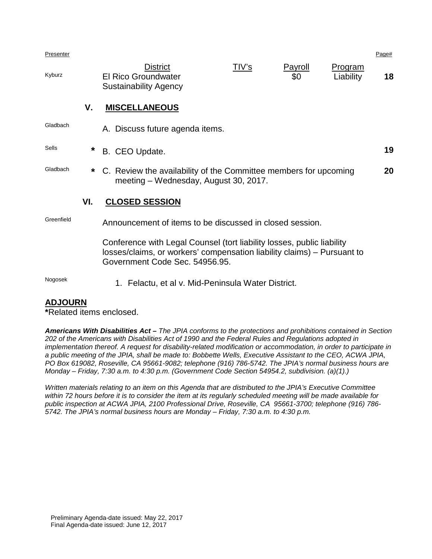Presenter Presenter Page to the Second Contract of the Second Contract of the Second Contract of the Page to the Page to the Page to the Page to the Page to the Page to the Page to the Page to the Page to the Page to the P

|        | <b>District</b>              | TIV's | Payroll | Program   |    |
|--------|------------------------------|-------|---------|-----------|----|
| Kyburz | <b>El Rico Groundwater</b>   |       | \$0     | Liability | 18 |
|        | <b>Sustainability Agency</b> |       |         |           |    |

#### **V. MISCELLANEOUS**

| Gladbach     |     | A. Discuss future agenda items.                                                                                                                                                     |    |
|--------------|-----|-------------------------------------------------------------------------------------------------------------------------------------------------------------------------------------|----|
| <b>Sells</b> | *   | B. CEO Update.                                                                                                                                                                      | 19 |
| Gladbach     |     | * C. Review the availability of the Committee members for upcoming<br>meeting - Wednesday, August 30, 2017.                                                                         | 20 |
|              | VI. | <b>CLOSED SESSION</b>                                                                                                                                                               |    |
| Greenfield   |     | Announcement of items to be discussed in closed session.                                                                                                                            |    |
|              |     | Conference with Legal Counsel (tort liability losses, public liability<br>losses/claims, or workers' compensation liability claims) – Pursuant to<br>Government Code Sec. 54956.95. |    |

Nogosek 1. Felactu, et al v. Mid-Peninsula Water District.

#### **ADJOURN**

**\***Related items enclosed.

*Americans With Disabilities Act – The JPIA conforms to the protections and prohibitions contained in Section 202 of the Americans with Disabilities Act of 1990 and the Federal Rules and Regulations adopted in implementation thereof. A request for disability-related modification or accommodation, in order to participate in a public meeting of the JPIA, shall be made to: Bobbette Wells, Executive Assistant to the CEO, ACWA JPIA, PO Box 619082, Roseville, CA 95661-9082; telephone (916) 786-5742. The JPIA's normal business hours are Monday – Friday, 7:30 a.m. to 4:30 p.m. (Government Code Section 54954.2, subdivision. (a)(1).)*

*Written materials relating to an item on this Agenda that are distributed to the JPIA's Executive Committee within 72 hours before it is to consider the item at its regularly scheduled meeting will be made available for public inspection at ACWA JPIA, 2100 Professional Drive, Roseville, CA 95661-3700; telephone (916) 786- 5742. The JPIA's normal business hours are Monday – Friday, 7:30 a.m. to 4:30 p.m.*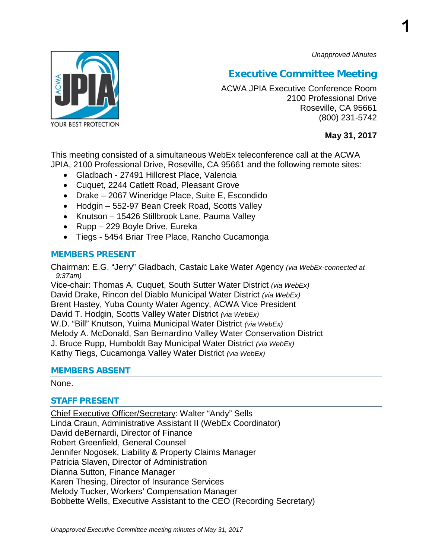*Unapproved Minutes*

**1**



## **Executive Committee Meeting**

ACWA JPIA Executive Conference Room 2100 Professional Drive Roseville, CA 95661 (800) 231-5742

#### **May 31, 2017**

This meeting consisted of a simultaneous WebEx teleconference call at the ACWA JPIA, 2100 Professional Drive, Roseville, CA 95661 and the following remote sites:

- Gladbach 27491 Hillcrest Place, Valencia
- Cuquet, 2244 Catlett Road, Pleasant Grove
- Drake 2067 Wineridge Place, Suite E, Escondido
- Hodgin 552-97 Bean Creek Road, Scotts Valley
- Knutson 15426 Stillbrook Lane, Pauma Valley
- Rupp 229 Boyle Drive, Eureka
- Tiegs 5454 Briar Tree Place, Rancho Cucamonga

#### **MEMBERS PRESENT**

Chairman: E.G. "Jerry" Gladbach, Castaic Lake Water Agency *(via WebEx-connected at 9:37am)*

Vice-chair: Thomas A. Cuquet, South Sutter Water District *(via WebEx)* David Drake, Rincon del Diablo Municipal Water District *(via WebEx)* Brent Hastey, Yuba County Water Agency, ACWA Vice President David T. Hodgin, Scotts Valley Water District *(via WebEx)* W.D. "Bill" Knutson, Yuima Municipal Water District *(via WebEx)* Melody A. McDonald, San Bernardino Valley Water Conservation District J. Bruce Rupp, Humboldt Bay Municipal Water District *(via WebEx)* Kathy Tiegs, Cucamonga Valley Water District *(via WebEx)*

#### **MEMBERS ABSENT**

#### None.

#### **STAFF PRESENT**

Chief Executive Officer/Secretary: Walter "Andy" Sells Linda Craun, Administrative Assistant II (WebEx Coordinator) David deBernardi, Director of Finance Robert Greenfield, General Counsel Jennifer Nogosek, Liability & Property Claims Manager Patricia Slaven, Director of Administration Dianna Sutton, Finance Manager Karen Thesing, Director of Insurance Services Melody Tucker, Workers' Compensation Manager Bobbette Wells, Executive Assistant to the CEO (Recording Secretary)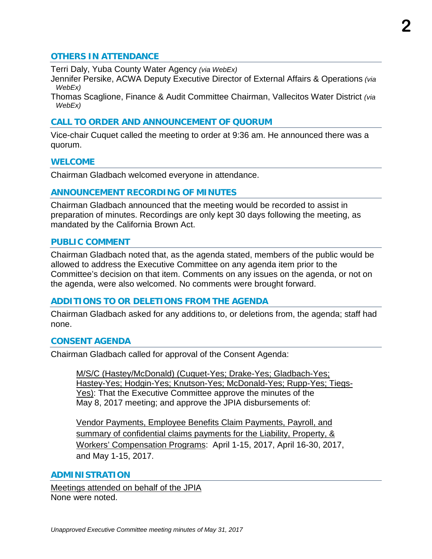#### **OTHERS IN ATTENDANCE**

Terri Daly, Yuba County Water Agency *(via WebEx)*

Jennifer Persike, ACWA Deputy Executive Director of External Affairs & Operations *(via WebEx)*

Thomas Scaglione, Finance & Audit Committee Chairman, Vallecitos Water District *(via WebEx)*

#### **CALL TO ORDER AND ANNOUNCEMENT OF QUORUM**

Vice-chair Cuquet called the meeting to order at 9:36 am. He announced there was a quorum.

#### **WELCOME**

Chairman Gladbach welcomed everyone in attendance.

#### **ANNOUNCEMENT RECORDING OF MINUTES**

Chairman Gladbach announced that the meeting would be recorded to assist in preparation of minutes. Recordings are only kept 30 days following the meeting, as mandated by the California Brown Act.

#### **PUBLIC COMMENT**

Chairman Gladbach noted that, as the agenda stated, members of the public would be allowed to address the Executive Committee on any agenda item prior to the Committee's decision on that item. Comments on any issues on the agenda, or not on the agenda, were also welcomed. No comments were brought forward.

#### **ADDITIONS TO OR DELETIONS FROM THE AGENDA**

Chairman Gladbach asked for any additions to, or deletions from, the agenda; staff had none.

#### **CONSENT AGENDA**

Chairman Gladbach called for approval of the Consent Agenda:

M/S/C (Hastey/McDonald) (Cuquet-Yes; Drake-Yes; Gladbach-Yes; Hastey-Yes; Hodgin-Yes; Knutson-Yes; McDonald-Yes; Rupp-Yes; Tiegs-Yes): That the Executive Committee approve the minutes of the May 8, 2017 meeting; and approve the JPIA disbursements of:

Vendor Payments, Employee Benefits Claim Payments, Payroll, and summary of confidential claims payments for the Liability, Property, & Workers' Compensation Programs: April 1-15, 2017, April 16-30, 2017, and May 1-15, 2017.

#### **ADMINISTRATION**

Meetings attended on behalf of the JPIA None were noted.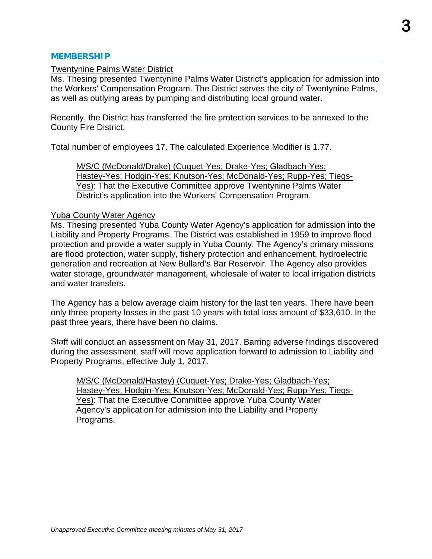#### **MEMBERSHIP**

#### Twentynine Palms Water District

Ms. Thesing presented Twentynine Palms Water District's application for admission into the Workers' Compensation Program. The District serves the city of Twentynine Palms, as well as outlying areas by pumping and distributing local ground water.

Recently, the District has transferred the fire protection services to be annexed to the County Fire District.

Total number of employees 17. The calculated Experience Modifier is 1.77.

M/S/C (McDonald/Drake) (Cuquet-Yes; Drake-Yes; Gladbach-Yes; Hastey-Yes; Hodgin-Yes; Knutson-Yes; McDonald-Yes; Rupp-Yes; Tiegs-Yes): That the Executive Committee approve Twentynine Palms Water District's application into the Workers' Compensation Program.

#### Yuba County Water Agency

Ms. Thesing presented Yuba County Water Agency's application for admission into the Liability and Property Programs. The District was established in 1959 to improve flood protection and provide a water supply in Yuba County. The Agency's primary missions are flood protection, water supply, fishery protection and enhancement, hydroelectric generation and recreation at New Bullard's Bar Reservoir. The Agency also provides water storage, groundwater management, wholesale of water to local irrigation districts and water transfers.

The Agency has a below average claim history for the last ten years. There have been only three property losses in the past 10 years with total loss amount of \$33,610. In the past three years, there have been no claims.

Staff will conduct an assessment on May 31, 2017. Barring adverse findings discovered during the assessment, staff will move application forward to admission to Liability and Property Programs, effective July 1, 2017.

M/S/C (McDonald/Hastey) (Cuquet-Yes; Drake-Yes; Gladbach-Yes; Hastey-Yes; Hodgin-Yes; Knutson-Yes; McDonald-Yes; Rupp-Yes; Tiegs-Yes): That the Executive Committee approve Yuba County Water Agency's application for admission into the Liability and Property Programs.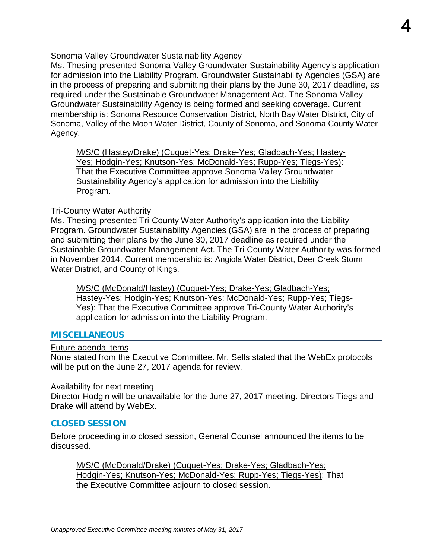#### Sonoma Valley Groundwater Sustainability Agency

Ms. Thesing presented Sonoma Valley Groundwater Sustainability Agency's application for admission into the Liability Program. Groundwater Sustainability Agencies (GSA) are in the process of preparing and submitting their plans by the June 30, 2017 deadline, as required under the Sustainable Groundwater Management Act. The Sonoma Valley Groundwater Sustainability Agency is being formed and seeking coverage. Current membership is: Sonoma Resource Conservation District, North Bay Water District, City of Sonoma, Valley of the Moon Water District, County of Sonoma, and Sonoma County Water Agency.

M/S/C (Hastey/Drake) (Cuquet-Yes; Drake-Yes; Gladbach-Yes; Hastey-Yes; Hodgin-Yes; Knutson-Yes; McDonald-Yes; Rupp-Yes; Tiegs-Yes): That the Executive Committee approve Sonoma Valley Groundwater Sustainability Agency's application for admission into the Liability Program.

#### Tri-County Water Authority

Ms. Thesing presented Tri-County Water Authority's application into the Liability Program. Groundwater Sustainability Agencies (GSA) are in the process of preparing and submitting their plans by the June 30, 2017 deadline as required under the Sustainable Groundwater Management Act. The Tri-County Water Authority was formed in November 2014. Current membership is: Angiola Water District, Deer Creek Storm Water District, and County of Kings.

M/S/C (McDonald/Hastey) (Cuquet-Yes; Drake-Yes; Gladbach-Yes; Hastey-Yes; Hodgin-Yes; Knutson-Yes; McDonald-Yes; Rupp-Yes; Tiegs-Yes): That the Executive Committee approve Tri-County Water Authority's application for admission into the Liability Program.

#### **MISCELLANEOUS**

#### Future agenda items

None stated from the Executive Committee. Mr. Sells stated that the WebEx protocols will be put on the June 27, 2017 agenda for review.

#### Availability for next meeting

Director Hodgin will be unavailable for the June 27, 2017 meeting. Directors Tiegs and Drake will attend by WebEx.

#### **CLOSED SESSION**

Before proceeding into closed session, General Counsel announced the items to be discussed.

M/S/C (McDonald/Drake) (Cuquet-Yes; Drake-Yes; Gladbach-Yes; Hodgin-Yes; Knutson-Yes; McDonald-Yes; Rupp-Yes; Tiegs-Yes): That the Executive Committee adjourn to closed session.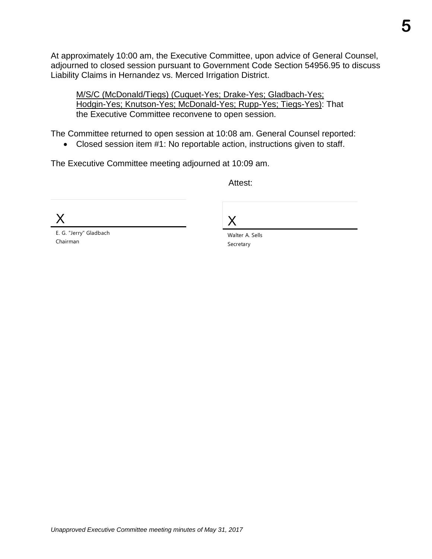At approximately 10:00 am, the Executive Committee, upon advice of General Counsel, adjourned to closed session pursuant to Government Code Section 54956.95 to discuss Liability Claims in Hernandez vs. Merced Irrigation District.

M/S/C (McDonald/Tiegs) (Cuquet-Yes; Drake-Yes; Gladbach-Yes; Hodgin-Yes; Knutson-Yes; McDonald-Yes; Rupp-Yes; Tiegs-Yes): That the Executive Committee reconvene to open session.

The Committee returned to open session at 10:08 am. General Counsel reported:

• Closed session item #1: No reportable action, instructions given to staff.

The Executive Committee meeting adjourned at 10:09 am.

Attest:

X

E. G. "Jerry" Gladbach Chairman

X

Walter A. Sells Secretary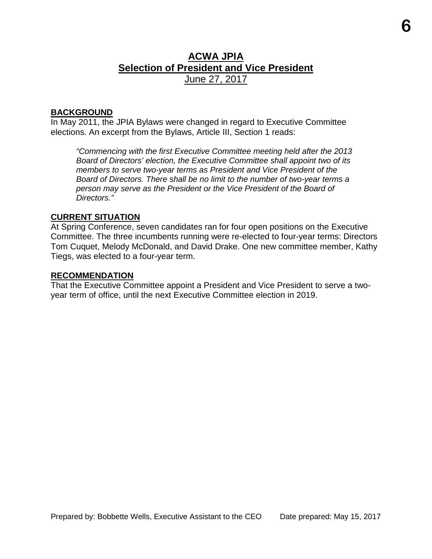### **ACWA JPIA Selection of President and Vice President** June 27, 2017

#### **BACKGROUND**

In May 2011, the JPIA Bylaws were changed in regard to Executive Committee elections. An excerpt from the Bylaws, Article III, Section 1 reads:

*"Commencing with the first Executive Committee meeting held after the 2013 Board of Directors' election, the Executive Committee shall appoint two of its members to serve two-year terms as President and Vice President of the Board of Directors. There shall be no limit to the number of two-year terms a person may serve as the President or the Vice President of the Board of Directors."*

#### **CURRENT SITUATION**

At Spring Conference, seven candidates ran for four open positions on the Executive Committee. The three incumbents running were re-elected to four-year terms: Directors Tom Cuquet, Melody McDonald, and David Drake. One new committee member, Kathy Tiegs, was elected to a four-year term.

#### **RECOMMENDATION**

That the Executive Committee appoint a President and Vice President to serve a twoyear term of office, until the next Executive Committee election in 2019.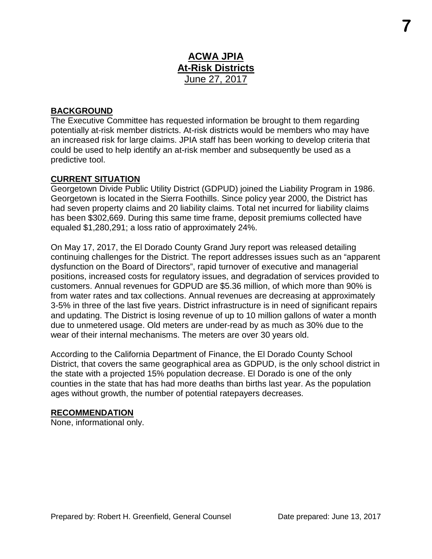### **ACWA JPIA At-Risk Districts** June 27, 2017

#### **BACKGROUND**

The Executive Committee has requested information be brought to them regarding potentially at-risk member districts. At-risk districts would be members who may have an increased risk for large claims. JPIA staff has been working to develop criteria that could be used to help identify an at-risk member and subsequently be used as a predictive tool.

#### **CURRENT SITUATION**

Georgetown Divide Public Utility District (GDPUD) joined the Liability Program in 1986. Georgetown is located in the Sierra Foothills. Since policy year 2000, the District has had seven property claims and 20 liability claims. Total net incurred for liability claims has been \$302,669. During this same time frame, deposit premiums collected have equaled \$1,280,291; a loss ratio of approximately 24%.

On May 17, 2017, the El Dorado County Grand Jury report was released detailing continuing challenges for the District. The report addresses issues such as an "apparent dysfunction on the Board of Directors", rapid turnover of executive and managerial positions, increased costs for regulatory issues, and degradation of services provided to customers. Annual revenues for GDPUD are \$5.36 million, of which more than 90% is from water rates and tax collections. Annual revenues are decreasing at approximately 3-5% in three of the last five years. District infrastructure is in need of significant repairs and updating. The District is losing revenue of up to 10 million gallons of water a month due to unmetered usage. Old meters are under-read by as much as 30% due to the wear of their internal mechanisms. The meters are over 30 years old.

According to the California Department of Finance, the El Dorado County School District, that covers the same geographical area as GDPUD, is the only school district in the state with a projected 15% population decrease. El Dorado is one of the only counties in the state that has had more deaths than births last year. As the population ages without growth, the number of potential ratepayers decreases.

#### **RECOMMENDATION**

None, informational only.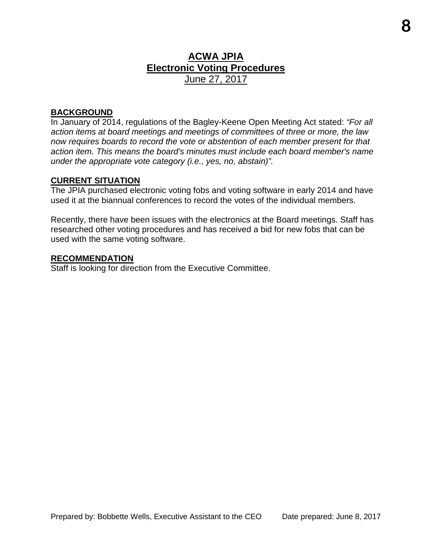### **ACWA JPIA Electronic Voting Procedures** June 27, 2017

#### **BACKGROUND**

In January of 2014, regulations of the Bagley-Keene Open Meeting Act stated: *"For all action items at board meetings and meetings of committees of three or more, the law now requires boards to record the vote or abstention of each member present for that action item. This means the board's minutes must include each board member's name under the appropriate vote category (i.e., yes, no, abstain)".*

#### **CURRENT SITUATION**

The JPIA purchased electronic voting fobs and voting software in early 2014 and have used it at the biannual conferences to record the votes of the individual members.

Recently, there have been issues with the electronics at the Board meetings. Staff has researched other voting procedures and has received a bid for new fobs that can be used with the same voting software.

#### **RECOMMENDATION**

Staff is looking for direction from the Executive Committee.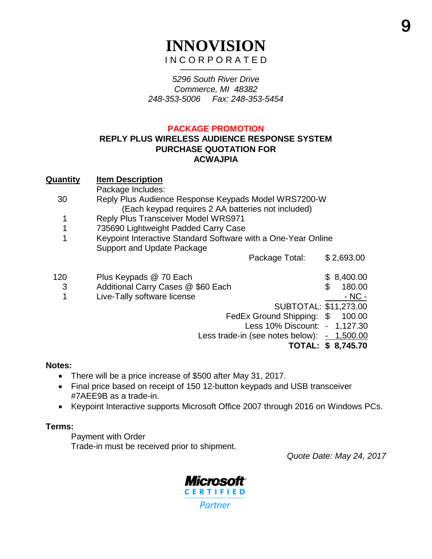## **INNOVISION** I N C O R P O R A T E D ──────────────

*5296 South River Drive Commerce, MI 48382 248-353-5006 Fax: 248-353-5454*

#### **PACKAGE PROMOTION**

#### **REPLY PLUS WIRELESS AUDIENCE RESPONSE SYSTEM PURCHASE QUOTATION FOR ACWAJPIA**

#### **Quantity Item Description**

Package Includes:

- 30 Reply Plus Audience Response Keypads Model WRS7200-W (Each keypad requires 2 AA batteries not included)
	- 1 Reply Plus Transceiver Model WRS971
	- 1 735690 Lightweight Padded Carry Case
	- 1 Keypoint Interactive Standard Software with a One-Year Online Support and Update Package

Package Total: \$ 2,693.00

120 Plus Keypads @ 70 Each \$ 8,400.00 3 Additional Carry Cases @ \$60 Each \$ 180.00 1 Live-Tally software license **Accord 2012** Live-Tally software license SUBTOTAL: \$11,273.00 FedEx Ground Shipping: \$ 100.00

 Less 10% Discount: - 1,127.30 Less trade-in (see notes below):  $-1,500.00$ 

**TOTAL: \$ 8,745.70** 

#### **Notes:**

- There will be a price increase of \$500 after May 31, 2017.
- Final price based on receipt of 150 12-button keypads and USB transceiver #7AEE9B as a trade-in.
- Keypoint Interactive supports Microsoft Office 2007 through 2016 on Windows PCs.

#### **Terms:**

Payment with Order

Trade-in must be received prior to shipment.

*Quote Date: May 24, 2017*

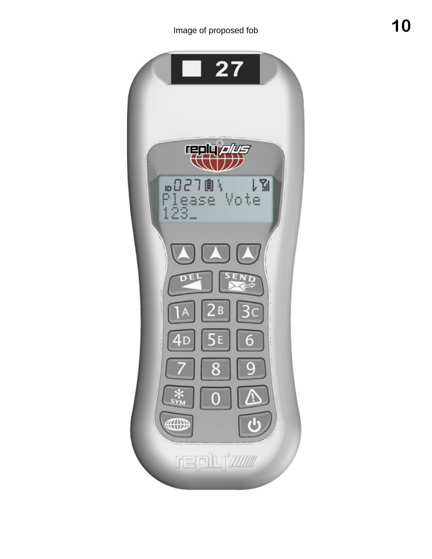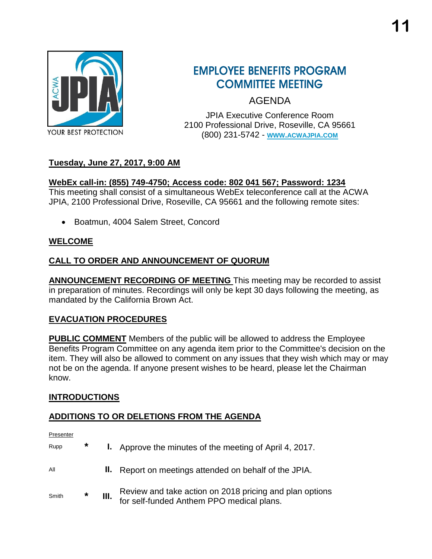

## **EMPLOYEE BENEFITS PROGRAM COMMITTEE MEETING**

AGENDA

JPIA Executive Conference Room 2100 Professional Drive, Roseville, CA 95661 (800) 231-5742 - **WWW.[ACWAJPIA](http://www.acwajpia.com/).COM**

### **Tuesday, June 27, 2017, 9:00 AM**

#### **WebEx call-in: (855) 749-4750; Access code: 802 041 567; Password: 1234**

This meeting shall consist of a simultaneous WebEx teleconference call at the ACWA JPIA, 2100 Professional Drive, Roseville, CA 95661 and the following remote sites:

• Boatmun, 4004 Salem Street, Concord

#### **WELCOME**

#### **CALL TO ORDER AND ANNOUNCEMENT OF QUORUM**

**ANNOUNCEMENT RECORDING OF MEETING** This meeting may be recorded to assist in preparation of minutes. Recordings will only be kept 30 days following the meeting, as mandated by the California Brown Act.

#### **EVACUATION PROCEDURES**

**PUBLIC COMMENT** Members of the public will be allowed to address the Employee Benefits Program Committee on any agenda item prior to the Committee's decision on the item. They will also be allowed to comment on any issues that they wish which may or may not be on the agenda. If anyone present wishes to be heard, please let the Chairman know.

#### **INTRODUCTIONS**

#### **ADDITIONS TO OR DELETIONS FROM THE AGENDA**

Presenter

| Rupp  | $\ast$ |      | <b>I.</b> Approve the minutes of the meeting of April 4, 2017.                                       |
|-------|--------|------|------------------------------------------------------------------------------------------------------|
| All   |        |      | II. Report on meetings attended on behalf of the JPIA.                                               |
| Smith | $\ast$ | III. | Review and take action on 2018 pricing and plan options<br>for self-funded Anthem PPO medical plans. |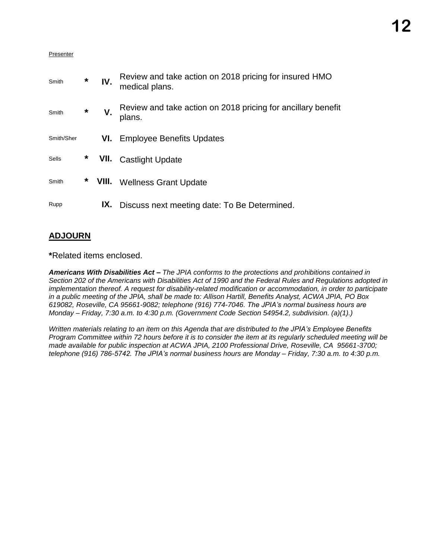#### Presenter

| Smith      | $\star$ | IV. | Review and take action on 2018 pricing for insured HMO<br>medical plans. |
|------------|---------|-----|--------------------------------------------------------------------------|
| Smith      | $\ast$  | V.  | Review and take action on 2018 pricing for ancillary benefit<br>plans.   |
| Smith/Sher |         | VI. | <b>Employee Benefits Updates</b>                                         |
| Sells      | *       |     | <b>VII.</b> Castlight Update                                             |
| Smith      | $\ast$  |     | <b>VIII.</b> Wellness Grant Update                                       |
| Rupp       |         | IX. | Discuss next meeting date: To Be Determined.                             |

### **ADJOURN**

**\***Related items enclosed.

*Americans With Disabilities Act – The JPIA conforms to the protections and prohibitions contained in Section 202 of the Americans with Disabilities Act of 1990 and the Federal Rules and Regulations adopted in implementation thereof. A request for disability-related modification or accommodation, in order to participate in a public meeting of the JPIA, shall be made to: Allison Hartill, Benefits Analyst, ACWA JPIA, PO Box 619082, Roseville, CA 95661-9082; telephone (916) 774-7046. The JPIA's normal business hours are Monday – Friday, 7:30 a.m. to 4:30 p.m. (Government Code Section 54954.2, subdivision. (a)(1).)*

*Written materials relating to an item on this Agenda that are distributed to the JPIA's Employee Benefits Program Committee within 72 hours before it is to consider the item at its regularly scheduled meeting will be made available for public inspection at ACWA JPIA, 2100 Professional Drive, Roseville, CA 95661-3700; telephone (916) 786-5742. The JPIA's normal business hours are Monday – Friday, 7:30 a.m. to 4:30 p.m.*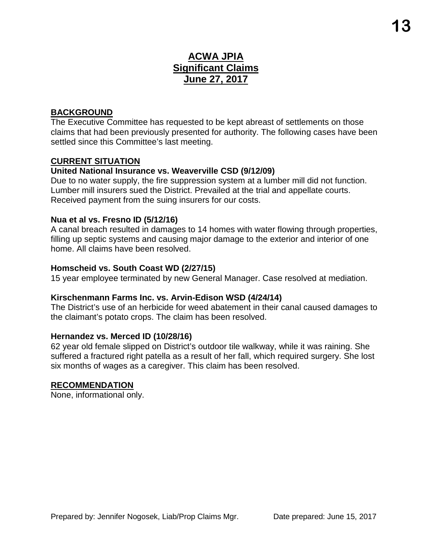## **ACWA JPIA Significant Claims June 27, 2017**

#### **BACKGROUND**

The Executive Committee has requested to be kept abreast of settlements on those claims that had been previously presented for authority. The following cases have been settled since this Committee's last meeting.

#### **CURRENT SITUATION**

#### **United National Insurance vs. Weaverville CSD (9/12/09)**

Due to no water supply, the fire suppression system at a lumber mill did not function. Lumber mill insurers sued the District. Prevailed at the trial and appellate courts. Received payment from the suing insurers for our costs.

#### **Nua et al vs. Fresno ID (5/12/16)**

A canal breach resulted in damages to 14 homes with water flowing through properties, filling up septic systems and causing major damage to the exterior and interior of one home. All claims have been resolved.

#### **Homscheid vs. South Coast WD (2/27/15)**

15 year employee terminated by new General Manager. Case resolved at mediation.

#### **Kirschenmann Farms Inc. vs. Arvin-Edison WSD (4/24/14)**

The District's use of an herbicide for weed abatement in their canal caused damages to the claimant's potato crops. The claim has been resolved.

#### **Hernandez vs. Merced ID (10/28/16)**

62 year old female slipped on District's outdoor tile walkway, while it was raining. She suffered a fractured right patella as a result of her fall, which required surgery. She lost six months of wages as a caregiver. This claim has been resolved.

#### **RECOMMENDATION**

None, informational only.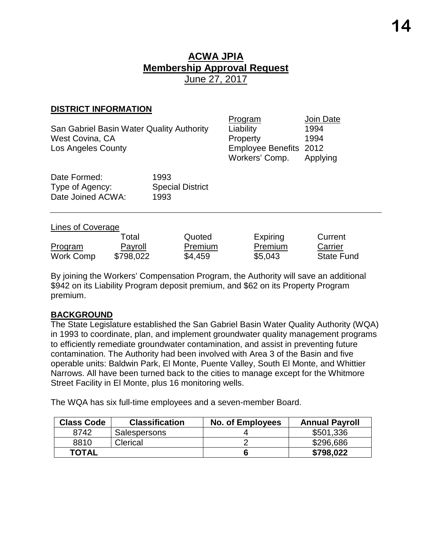#### **DISTRICT INFORMATION**

| San Gabriel Basin Water Quality Authority | Liability              | 1994 |
|-------------------------------------------|------------------------|------|
| West Covina, CA                           | Property               | 1994 |
| Los Angeles County                        | Employee Benefits 2012 |      |

| Program                | Join Date |
|------------------------|-----------|
| Liability              | 1994      |
| Property               | 1994      |
| Employee Benefits 2012 |           |
| Workers' Comp.         | Applying  |

| Date Formed:      | 1993                    |
|-------------------|-------------------------|
| Type of Agency:   | <b>Special District</b> |
| Date Joined ACWA: | 1993                    |

#### Lines of Coverage

|                | ™otal     | Quoted         | Expiring | Current           |
|----------------|-----------|----------------|----------|-------------------|
| <b>Program</b> | Payroll   | <b>Premium</b> | Premium  | Carrier           |
| Work Comp      | \$798,022 | \$4,459        | \$5,043  | <b>State Fund</b> |

By joining the Workers' Compensation Program, the Authority will save an additional \$942 on its Liability Program deposit premium, and \$62 on its Property Program premium.

#### **BACKGROUND**

The State Legislature established the San Gabriel Basin Water Quality Authority (WQA) in 1993 to coordinate, plan, and implement groundwater quality management programs to efficiently remediate groundwater contamination, and assist in preventing future contamination. The Authority had been involved with Area 3 of the Basin and five operable units: Baldwin Park, El Monte, Puente Valley, South El Monte, and Whittier Narrows. All have been turned back to the cities to manage except for the Whitmore Street Facility in El Monte, plus 16 monitoring wells.

The WQA has six full-time employees and a seven-member Board.

| <b>Class Code</b> | <b>Classification</b> | <b>No. of Employees</b> | <b>Annual Payroll</b> |
|-------------------|-----------------------|-------------------------|-----------------------|
| 8742              | Salespersons          |                         | \$501,336             |
| 8810              | Clerical              |                         | \$296,686             |
| <b>TOTAL</b>      |                       |                         | \$798,022             |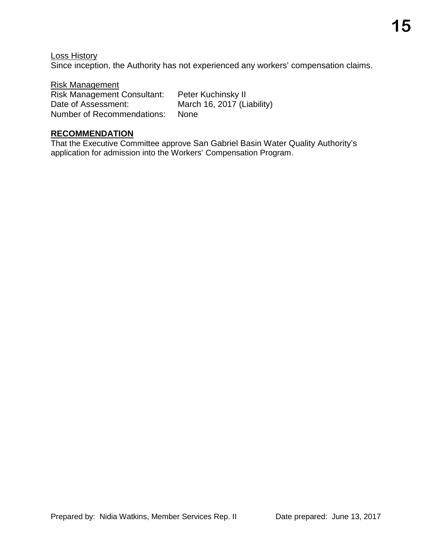Loss History Since inception, the Authority has not experienced any workers' compensation claims.

Risk Management Risk Management Consultant: Peter Kuchinsky II Date of Assessment: March 16, 2017 (Liability) Number of Recommendations: None

#### **RECOMMENDATION**

That the Executive Committee approve San Gabriel Basin Water Quality Authority's application for admission into the Workers' Compensation Program.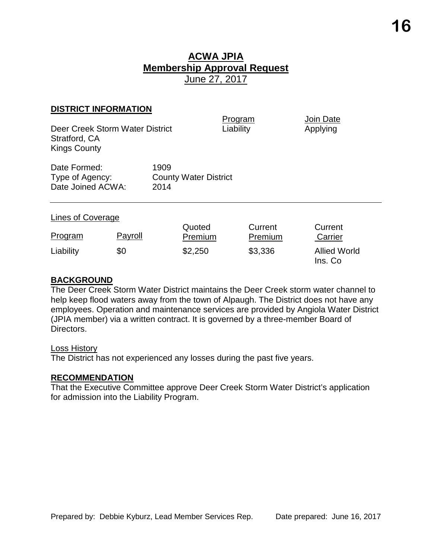#### **DISTRICT INFORMATION**

| Deer Creek Storm Water District<br>Stratford, CA<br><b>Kings County</b> |         |              |                              | Program<br>Liability | <b>Join Date</b><br>Applying   |
|-------------------------------------------------------------------------|---------|--------------|------------------------------|----------------------|--------------------------------|
| Date Formed:<br>Type of Agency:<br>Date Joined ACWA:                    |         | 1909<br>2014 | <b>County Water District</b> |                      |                                |
| Lines of Coverage                                                       |         |              | Quoted                       | Current              | Current                        |
| Program                                                                 | Payroll |              | Premium                      | Premium              | Carrier                        |
| Liability                                                               | \$0     |              | \$2,250                      | \$3,336              | <b>Allied World</b><br>Ins. Co |

#### **BACKGROUND**

The Deer Creek Storm Water District maintains the Deer Creek storm water channel to help keep flood waters away from the town of Alpaugh. The District does not have any employees. Operation and maintenance services are provided by Angiola Water District (JPIA member) via a written contract. It is governed by a three-member Board of Directors.

#### Loss History

The District has not experienced any losses during the past five years.

#### **RECOMMENDATION**

That the Executive Committee approve Deer Creek Storm Water District's application for admission into the Liability Program.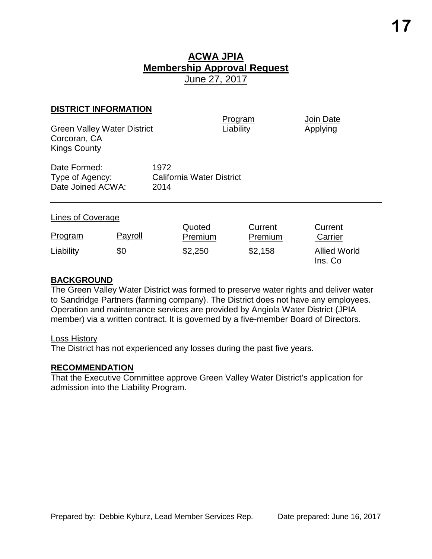#### **DISTRICT INFORMATION**

Green Valley Water District Corcoran, CA Kings County

Program Join Date<br>
Liability Applying

| Date Formed:      | 1972                             |
|-------------------|----------------------------------|
| Type of Agency:   | <b>California Water District</b> |
| Date Joined ACWA: | 2014                             |

#### Lines of Coverage

| Program   | Payroll | Quoted<br>Premium | Current<br>Premium | Current<br>Carrier             |
|-----------|---------|-------------------|--------------------|--------------------------------|
| Liability | \$0     | \$2,250           | \$2,158            | <b>Allied World</b><br>Ins. Co |

#### **BACKGROUND**

The Green Valley Water District was formed to preserve water rights and deliver water to Sandridge Partners (farming company). The District does not have any employees. Operation and maintenance services are provided by Angiola Water District (JPIA member) via a written contract. It is governed by a five-member Board of Directors.

#### Loss History

The District has not experienced any losses during the past five years.

#### **RECOMMENDATION**

That the Executive Committee approve Green Valley Water District's application for admission into the Liability Program.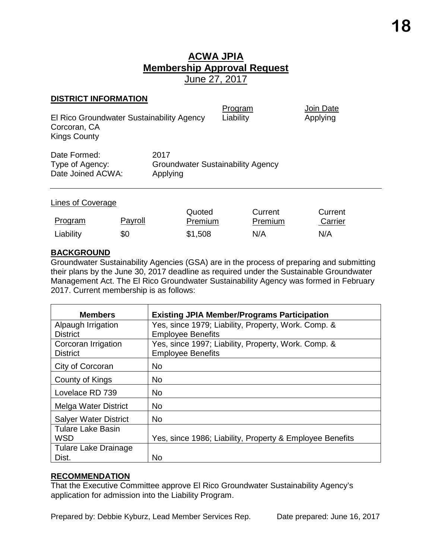#### **DISTRICT INFORMATION**

| El Rico Groundwater Sustainability Agency<br>Corcoran, CA<br><b>Kings County</b> |                  | Program<br>Liability                     | Join Date<br>Applying |
|----------------------------------------------------------------------------------|------------------|------------------------------------------|-----------------------|
| Date Formed:<br>Type of Agency:<br>Date Joined ACWA:                             | 2017<br>Applying | <b>Groundwater Sustainability Agency</b> |                       |
| Lines of Coverage                                                                |                  |                                          |                       |

| <b>Program</b> | <u>Payroll</u> | Quoted<br>Premium | Current<br><b>Premium</b> | Current<br>Carrier |
|----------------|----------------|-------------------|---------------------------|--------------------|
| Liability      | \$0            | \$1,508           | N/A                       | N/A                |

#### **BACKGROUND**

Groundwater Sustainability Agencies (GSA) are in the process of preparing and submitting their plans by the June 30, 2017 deadline as required under the Sustainable Groundwater Management Act. The El Rico Groundwater Sustainability Agency was formed in February 2017. Current membership is as follows:

| <b>Members</b>               | <b>Existing JPIA Member/Programs Participation</b>       |
|------------------------------|----------------------------------------------------------|
| Alpaugh Irrigation           | Yes, since 1979; Liability, Property, Work. Comp. &      |
| <b>District</b>              | <b>Employee Benefits</b>                                 |
| Corcoran Irrigation          | Yes, since 1997; Liability, Property, Work. Comp. &      |
| <b>District</b>              | <b>Employee Benefits</b>                                 |
| City of Corcoran             | <b>No</b>                                                |
| County of Kings              | No                                                       |
| Lovelace RD 739              | <b>No</b>                                                |
| Melga Water District         | <b>No</b>                                                |
| <b>Salyer Water District</b> | <b>No</b>                                                |
| <b>Tulare Lake Basin</b>     |                                                          |
| <b>WSD</b>                   | Yes, since 1986; Liability, Property & Employee Benefits |
| Tulare Lake Drainage         |                                                          |
| Dist.                        | No.                                                      |

#### **RECOMMENDATION**

That the Executive Committee approve El Rico Groundwater Sustainability Agency's application for admission into the Liability Program.

Prepared by: Debbie Kyburz, Lead Member Services Rep. Date prepared: June 16, 2017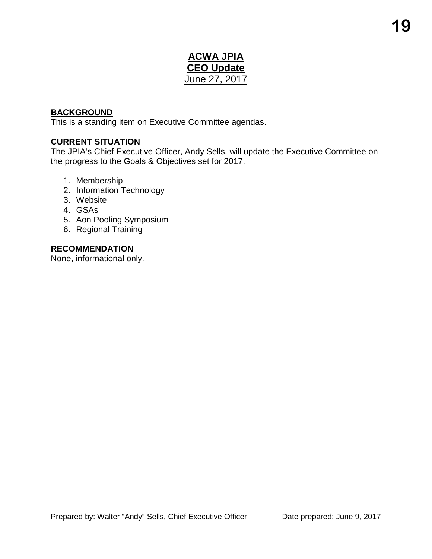### **ACWA JPIA CEO Update** June 27, 2017

#### **BACKGROUND**

This is a standing item on Executive Committee agendas.

#### **CURRENT SITUATION**

The JPIA's Chief Executive Officer, Andy Sells, will update the Executive Committee on the progress to the Goals & Objectives set for 2017.

- 1. Membership
- 2. Information Technology
- 3. Website
- 4. GSAs
- 5. Aon Pooling Symposium
- 6. Regional Training

#### **RECOMMENDATION**

None, informational only.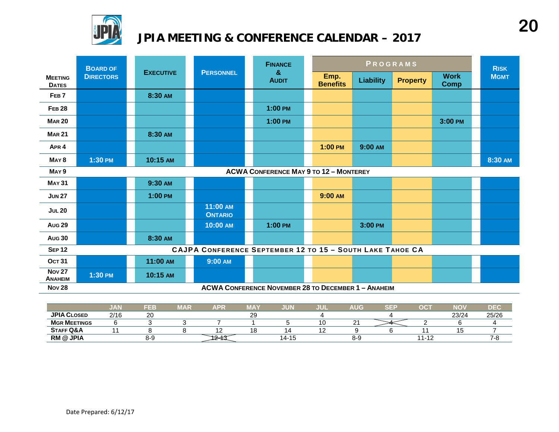

## **JPIA MEETING & CONFERENCE CALENDAR – 2017**

|                                 | <b>BOARD OF</b>  |                  | <b>FINANCE</b>                                            |  | PROGRAMS                                                   |  |                         |                  | <b>RISK</b>     |                            |             |
|---------------------------------|------------------|------------------|-----------------------------------------------------------|--|------------------------------------------------------------|--|-------------------------|------------------|-----------------|----------------------------|-------------|
| <b>MEETING</b><br><b>DATES</b>  | <b>DIRECTORS</b> | <b>EXECUTIVE</b> | <b>PERSONNEL</b>                                          |  | $\mathbf{g}$<br><b>AUDIT</b>                               |  | Emp.<br><b>Benefits</b> | <b>Liability</b> | <b>Property</b> | <b>Work</b><br><b>Comp</b> | <b>MGMT</b> |
| FEB <sub>7</sub>                |                  | 8:30 AM          |                                                           |  |                                                            |  |                         |                  |                 |                            |             |
| <b>FEB 28</b>                   |                  |                  |                                                           |  | $1:00$ PM                                                  |  |                         |                  |                 |                            |             |
| <b>MAR 20</b>                   |                  |                  |                                                           |  | $1:00$ PM                                                  |  |                         |                  |                 | 3:00 PM                    |             |
| <b>MAR 21</b>                   |                  | 8:30 AM          |                                                           |  |                                                            |  |                         |                  |                 |                            |             |
| APR <sub>4</sub>                |                  |                  |                                                           |  |                                                            |  | $1:00$ PM               | 9:00 AM          |                 |                            |             |
| MAY <sub>8</sub>                | 1:30 PM          | 10:15 AM         |                                                           |  |                                                            |  |                         |                  |                 |                            | 8:30 AM     |
| MAY <sub>9</sub>                |                  |                  |                                                           |  | <b>ACWA CONFERENCE MAY 9 TO 12 - MONTEREY</b>              |  |                         |                  |                 |                            |             |
| <b>MAY 31</b>                   |                  | 9:30 AM          |                                                           |  |                                                            |  |                         |                  |                 |                            |             |
| <b>JUN 27</b>                   |                  | 1:00 PM          |                                                           |  |                                                            |  | 9:00 AM                 |                  |                 |                            |             |
| <b>JUL 20</b>                   |                  |                  | 11:00 AM<br><b>ONTARIO</b>                                |  |                                                            |  |                         |                  |                 |                            |             |
| <b>Aug 29</b>                   |                  |                  | 10:00 AM                                                  |  | $1:00$ PM                                                  |  |                         | 3:00 PM          |                 |                            |             |
| <b>Aug 30</b>                   |                  | 8:30 AM          |                                                           |  |                                                            |  |                         |                  |                 |                            |             |
| <b>SEP 12</b>                   |                  |                  | CAJPA CONFERENCE SEPTEMBER 12 TO 15 - SOUTH LAKE TAHOE CA |  |                                                            |  |                         |                  |                 |                            |             |
| <b>OCT 31</b>                   |                  | 11:00 AM         | 9:00 AM                                                   |  |                                                            |  |                         |                  |                 |                            |             |
| <b>Nov 27</b><br><b>ANAHEIM</b> | 1:30 PM          | 10:15 AM         |                                                           |  |                                                            |  |                         |                  |                 |                            |             |
| <b>Nov 28</b>                   |                  |                  |                                                           |  | <b>ACWA CONFERENCE NOVEMBER 28 TO DECEMBER 1 - ANAHEIM</b> |  |                         |                  |                 |                            |             |

|                      | ,,,,,<br>$\mathbf{v}$ | FEB          | MAR | APF | ----<br>ΊA  | JUN       | JUL | <b>AUG</b> | $\sim$ $ \sim$ | $\sim$<br>- 13    | <b>NO</b> | DE <sub>(</sub> |
|----------------------|-----------------------|--------------|-----|-----|-------------|-----------|-----|------------|----------------|-------------------|-----------|-----------------|
| <b>JPIA CLOSED</b>   | 2/16                  | $\sim$<br>∠∪ |     |     | $\sim$<br>ت |           |     |            |                |                   | 23/24     | 25/26           |
| <b>MGR MEETINGS</b>  |                       |              |     |     |             |           |     | <u>_</u>   |                |                   |           |                 |
| <b>STAFF Q&amp;A</b> |                       |              |     |     |             |           |     |            |                |                   | יי        |                 |
| <b>RM @ JPIA</b>     |                       | 8-9          |     |     |             | $14 - 1.$ |     | 8-5        |                | 44<br><b>Le</b> 1 |           | -0              |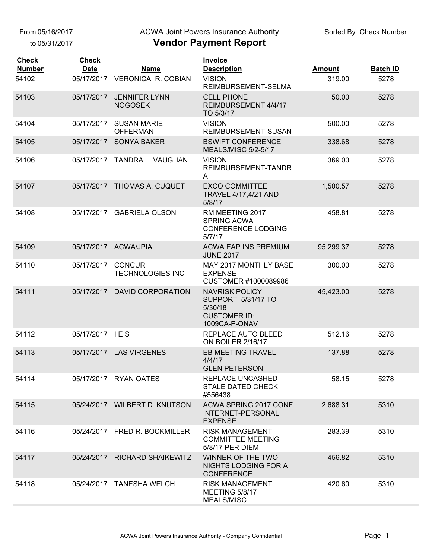to 05/31/2017

#### ACWA Joint Powers Insurance Authority

| <b>Check</b><br><b>Number</b> | <b>Check</b><br><b>Date</b> | <b>Name</b>                              | <b>Invoice</b><br><b>Description</b>                                                           | <b>Amount</b> | <b>Batch ID</b> |
|-------------------------------|-----------------------------|------------------------------------------|------------------------------------------------------------------------------------------------|---------------|-----------------|
| 54102                         |                             | 05/17/2017 VERONICA R. COBIAN            | <b>VISION</b><br>REIMBURSEMENT-SELMA                                                           | 319.00        | 5278            |
| 54103                         | 05/17/2017                  | <b>JENNIFER LYNN</b><br><b>NOGOSEK</b>   | <b>CELL PHONE</b><br>REIMBURSEMENT 4/4/17<br>TO 5/3/17                                         | 50.00         | 5278            |
| 54104                         | 05/17/2017                  | <b>SUSAN MARIE</b><br><b>OFFERMAN</b>    | <b>VISION</b><br>REIMBURSEMENT-SUSAN                                                           | 500.00        | 5278            |
| 54105                         | 05/17/2017                  | <b>SONYA BAKER</b>                       | <b>BSWIFT CONFERENCE</b><br>MEALS/MISC 5/2-5/17                                                | 338.68        | 5278            |
| 54106                         | 05/17/2017                  | TANDRA L. VAUGHAN                        | <b>VISION</b><br>REIMBURSEMENT-TANDR<br>Α                                                      | 369.00        | 5278            |
| 54107                         |                             | 05/17/2017 THOMAS A. CUQUET              | <b>EXCO COMMITTEE</b><br>TRAVEL 4/17,4/21 AND<br>5/8/17                                        | 1,500.57      | 5278            |
| 54108                         |                             | 05/17/2017 GABRIELA OLSON                | RM MEETING 2017<br><b>SPRING ACWA</b><br><b>CONFERENCE LODGING</b><br>5/7/17                   | 458.81        | 5278            |
| 54109                         |                             | 05/17/2017 ACWA/JPIA                     | <b>ACWA EAP INS PREMIUM</b><br><b>JUNE 2017</b>                                                | 95,299.37     | 5278            |
| 54110                         | 05/17/2017                  | <b>CONCUR</b><br><b>TECHNOLOGIES INC</b> | <b>MAY 2017 MONTHLY BASE</b><br><b>EXPENSE</b><br>CUSTOMER #1000089986                         | 300.00        | 5278            |
| 54111                         |                             | 05/17/2017 DAVID CORPORATION             | <b>NAVRISK POLICY</b><br>SUPPORT 5/31/17 TO<br>5/30/18<br><b>CUSTOMER ID:</b><br>1009CA-P-ONAV | 45,423.00     | 5278            |
| 54112                         | 05/17/2017 IES              |                                          | REPLACE AUTO BLEED<br>ON BOILER 2/16/17                                                        | 512.16        | 5278            |
| 54113                         |                             | 05/17/2017 LAS VIRGENES                  | EB MEETING TRAVEL<br>4/4/17<br><b>GLEN PETERSON</b>                                            | 137.88        | 5278            |
| 54114                         |                             | 05/17/2017 RYAN OATES                    | REPLACE UNCASHED<br><b>STALE DATED CHECK</b><br>#556438                                        | 58.15         | 5278            |
| 54115                         |                             | 05/24/2017 WILBERT D. KNUTSON            | ACWA SPRING 2017 CONF<br><b>INTERNET-PERSONAL</b><br><b>EXPENSE</b>                            | 2,688.31      | 5310            |
| 54116                         |                             | 05/24/2017 FRED R. BOCKMILLER            | <b>RISK MANAGEMENT</b><br><b>COMMITTEE MEETING</b><br>5/8/17 PER DIEM                          | 283.39        | 5310            |
| 54117                         |                             | 05/24/2017 RICHARD SHAIKEWITZ            | WINNER OF THE TWO<br>NIGHTS LODGING FOR A<br>CONFERENCE.                                       | 456.82        | 5310            |
| 54118                         |                             | 05/24/2017 TANESHA WELCH                 | <b>RISK MANAGEMENT</b><br>MEETING 5/8/17<br><b>MEALS/MISC</b>                                  | 420.60        | 5310            |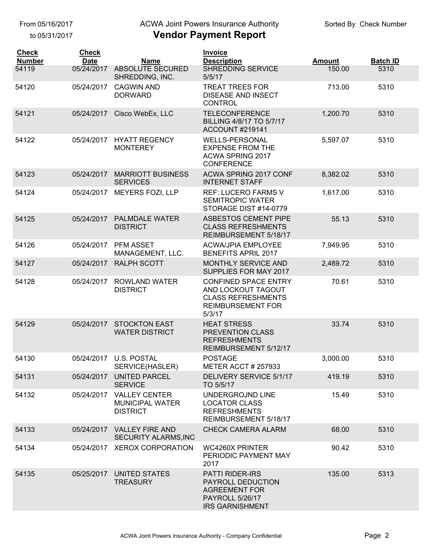to 05/31/2017

## ACWA Joint Powers Insurance Authority

| <b>Check</b><br><b>Number</b> | <b>Check</b><br><b>Date</b> | <b>Name</b>                                                       | <b>Invoice</b><br><b>Description</b>                                                                                    | <b>Amount</b> | <b>Batch ID</b> |
|-------------------------------|-----------------------------|-------------------------------------------------------------------|-------------------------------------------------------------------------------------------------------------------------|---------------|-----------------|
| 54119                         | 05/24/2017                  | ABSOLUTE SECURED<br>SHREDDING, INC.                               | SHREDDING SERVICE<br>5/5/17                                                                                             | 150.00        | 5310            |
| 54120                         | 05/24/2017                  | <b>CAGWIN AND</b><br><b>DORWARD</b>                               | <b>TREAT TREES FOR</b><br><b>DISEASE AND INSECT</b><br><b>CONTROL</b>                                                   | 713.00        | 5310            |
| 54121                         | 05/24/2017                  | Cisco WebEx, LLC                                                  | <b>TELECONFERENCE</b><br>BILLING 4/8/17 TO 5/7/17<br><b>ACCOUNT #219141</b>                                             | 1,200.70      | 5310            |
| 54122                         | 05/24/2017                  | <b>HYATT REGENCY</b><br><b>MONTEREY</b>                           | <b>WELLS-PERSONAL</b><br><b>EXPENSE FROM THE</b><br>ACWA SPRING 2017<br><b>CONFERENCE</b>                               | 5,597.07      | 5310            |
| 54123                         | 05/24/2017                  | <b>MARRIOTT BUSINESS</b><br><b>SERVICES</b>                       | ACWA SPRING 2017 CONF<br><b>INTERNET STAFF</b>                                                                          | 8,382.02      | 5310            |
| 54124                         | 05/24/2017                  | <b>MEYERS FOZI, LLP</b>                                           | <b>REF: LUCERO FARMS V</b><br><b>SEMITROPIC WATER</b><br>STORAGE DIST #14-0779                                          | 1,617.00      | 5310            |
| 54125                         | 05/24/2017                  | <b>PALMDALE WATER</b><br><b>DISTRICT</b>                          | <b>ASBESTOS CEMENT PIPE</b><br><b>CLASS REFRESHMENTS</b><br>REIMBURSEMENT 5/18/17                                       | 55.13         | 5310            |
| 54126                         | 05/24/2017                  | PFM ASSET<br>MANAGEMENT, LLC.                                     | <b>ACWA/JPIA EMPLOYEE</b><br><b>BENEFITS APRIL 2017</b>                                                                 | 7,949.95      | 5310            |
| 54127                         | 05/24/2017                  | <b>RALPH SCOTT</b>                                                | MONTHLY SERVICE AND<br>SUPPLIES FOR MAY 2017                                                                            | 2,489.72      | 5310            |
| 54128                         | 05/24/2017                  | <b>ROWLAND WATER</b><br><b>DISTRICT</b>                           | <b>CONFINED SPACE ENTRY</b><br>AND LOCKOUT TAGOUT<br><b>CLASS REFRESHMENTS</b><br><b>REIMBURSEMENT FOR</b><br>5/3/17    | 70.61         | 5310            |
| 54129                         | 05/24/2017                  | <b>STOCKTON EAST</b><br><b>WATER DISTRICT</b>                     | <b>HEAT STRESS</b><br>PREVENTION CLASS<br><b>REFRESHMENTS</b><br>REIMBURSEMENT 5/12/17                                  | 33.74         | 5310            |
| 54130                         | 05/24/2017                  | <b>U.S. POSTAL</b><br>SERVICE(HASLER)                             | <b>POSTAGE</b><br><b>METER ACCT # 257933</b>                                                                            | 3,000.00      | 5310            |
| 54131                         | 05/24/2017                  | <b>UNITED PARCEL</b><br><b>SERVICE</b>                            | DELIVERY SERVICE 5/1/17<br>TO 5/5/17                                                                                    | 419.19        | 5310            |
| 54132                         | 05/24/2017                  | <b>VALLEY CENTER</b><br><b>MUNICIPAL WATER</b><br><b>DISTRICT</b> | UNDERGROJND LINE<br><b>LOCATOR CLASS</b><br><b>REFRESHMENTS</b><br>REIMBURSEMENT 5/18/17                                | 15.49         | 5310            |
| 54133                         | 05/24/2017                  | <b>VALLEY FIRE AND</b><br><b>SECURITY ALARMS, INC</b>             | <b>CHECK CAMERA ALARM</b>                                                                                               | 68.00         | 5310            |
| 54134                         | 05/24/2017                  | <b>XEROX CORPORATION</b>                                          | <b>WC4260X PRINTER</b><br>PERIODIC PAYMENT MAY<br>2017                                                                  | 90.42         | 5310            |
| 54135                         | 05/25/2017                  | UNITED STATES<br><b>TREASURY</b>                                  | <b>PATTI RIDER-IRS</b><br>PAYROLL DEDUCTION<br><b>AGREEMENT FOR</b><br><b>PAYROLL 5/26/17</b><br><b>IRS GARNISHMENT</b> | 135.00        | 5313            |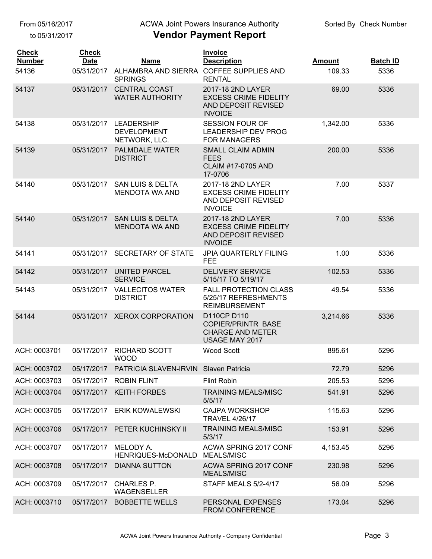to 05/31/2017

## ACWA Joint Powers Insurance Authority

| <b>Check</b><br><b>Number</b> | <b>Check</b><br><b>Date</b> | <b>Name</b>                                               | <b>Invoice</b><br><b>Description</b>                                                       | <b>Amount</b> | <b>Batch ID</b> |
|-------------------------------|-----------------------------|-----------------------------------------------------------|--------------------------------------------------------------------------------------------|---------------|-----------------|
| 54136                         | 05/31/2017                  | ALHAMBRA AND SIERRA COFFEE SUPPLIES AND<br><b>SPRINGS</b> | <b>RENTAL</b>                                                                              | 109.33        | 5336            |
| 54137                         | 05/31/2017                  | <b>CENTRAL COAST</b><br><b>WATER AUTHORITY</b>            | 2017-18 2ND LAYER<br><b>EXCESS CRIME FIDELITY</b><br>AND DEPOSIT REVISED<br><b>INVOICE</b> | 69.00         | 5336            |
| 54138                         | 05/31/2017                  | <b>LEADERSHIP</b><br><b>DEVELOPMENT</b><br>NETWORK, LLC.  | <b>SESSION FOUR OF</b><br><b>LEADERSHIP DEV PROG</b><br><b>FOR MANAGERS</b>                | 1,342.00      | 5336            |
| 54139                         | 05/31/2017                  | <b>PALMDALE WATER</b><br><b>DISTRICT</b>                  | <b>SMALL CLAIM ADMIN</b><br><b>FEES</b><br><b>CLAIM #17-0705 AND</b><br>17-0706            | 200.00        | 5336            |
| 54140                         | 05/31/2017                  | <b>SAN LUIS &amp; DELTA</b><br><b>MENDOTA WA AND</b>      | 2017-18 2ND LAYER<br><b>EXCESS CRIME FIDELITY</b><br>AND DEPOSIT REVISED<br><b>INVOICE</b> | 7.00          | 5337            |
| 54140                         | 05/31/2017                  | <b>SAN LUIS &amp; DELTA</b><br><b>MENDOTA WA AND</b>      | 2017-18 2ND LAYER<br><b>EXCESS CRIME FIDELITY</b><br>AND DEPOSIT REVISED<br><b>INVOICE</b> | 7.00          | 5336            |
| 54141                         | 05/31/2017                  | SECRETARY OF STATE                                        | <b>JPIA QUARTERLY FILING</b><br><b>FEE</b>                                                 | 1.00          | 5336            |
| 54142                         | 05/31/2017                  | <b>UNITED PARCEL</b><br><b>SERVICE</b>                    | <b>DELIVERY SERVICE</b><br>5/15/17 TO 5/19/17                                              | 102.53        | 5336            |
| 54143                         | 05/31/2017                  | <b>VALLECITOS WATER</b><br><b>DISTRICT</b>                | <b>FALL PROTECTION CLASS</b><br>5/25/17 REFRESHMENTS<br><b>REIMBURSEMENT</b>               | 49.54         | 5336            |
| 54144                         | 05/31/2017                  | <b>XEROX CORPORATION</b>                                  | D110CP D110<br><b>COPIER/PRINTR BASE</b><br><b>CHARGE AND METER</b><br>USAGE MAY 2017      | 3,214.66      | 5336            |
| ACH: 0003701                  | 05/17/2017                  | <b>RICHARD SCOTT</b><br><b>WOOD</b>                       | <b>Wood Scott</b>                                                                          | 895.61        | 5296            |
| ACH: 0003702                  |                             | 05/17/2017 PATRICIA SLAVEN-IRVIN Slaven Patricia          |                                                                                            | 72.79         | 5296            |
| ACH: 0003703                  | 05/17/2017                  | <b>ROBIN FLINT</b>                                        | <b>Flint Robin</b>                                                                         | 205.53        | 5296            |
| ACH: 0003704                  | 05/17/2017                  | <b>KEITH FORBES</b>                                       | <b>TRAINING MEALS/MISC</b><br>5/5/17                                                       | 541.91        | 5296            |
| ACH: 0003705                  | 05/17/2017                  | <b>ERIK KOWALEWSKI</b>                                    | <b>CAJPA WORKSHOP</b><br><b>TRAVEL 4/26/17</b>                                             | 115.63        | 5296            |
| ACH: 0003706                  |                             | 05/17/2017 PETER KUCHINSKY II                             | <b>TRAINING MEALS/MISC</b><br>5/3/17                                                       | 153.91        | 5296            |
| ACH: 0003707                  | 05/17/2017                  | MELODY A.<br>HENRIQUES-McDONALD                           | ACWA SPRING 2017 CONF<br><b>MEALS/MISC</b>                                                 | 4,153.45      | 5296            |
| ACH: 0003708                  | 05/17/2017                  | <b>DIANNA SUTTON</b>                                      | ACWA SPRING 2017 CONF<br><b>MEALS/MISC</b>                                                 | 230.98        | 5296            |
| ACH: 0003709                  | 05/17/2017                  | <b>CHARLES P.</b><br>WAGENSELLER                          | STAFF MEALS 5/2-4/17                                                                       | 56.09         | 5296            |
| ACH: 0003710                  | 05/17/2017                  | <b>BOBBETTE WELLS</b>                                     | PERSONAL EXPENSES<br>FROM CONFERENCE                                                       | 173.04        | 5296            |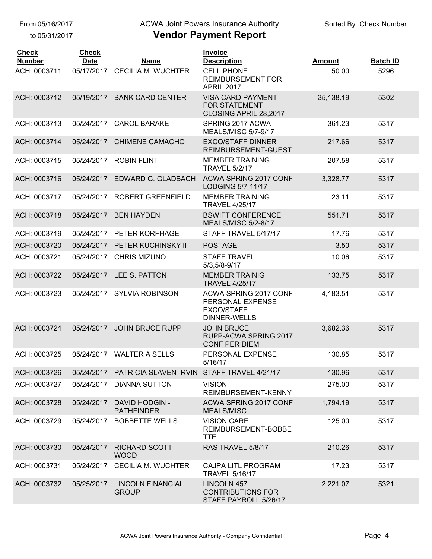to 05/31/2017

## ACWA Joint Powers Insurance Authority

| <b>Check</b>                  | <b>Check</b>              |                                            | <b>Invoice</b>                                                                           |                        |                         |
|-------------------------------|---------------------------|--------------------------------------------|------------------------------------------------------------------------------------------|------------------------|-------------------------|
| <b>Number</b><br>ACH: 0003711 | <b>Date</b><br>05/17/2017 | <b>Name</b><br><b>CECILIA M. WUCHTER</b>   | <b>Description</b><br><b>CELL PHONE</b><br><b>REIMBURSEMENT FOR</b><br><b>APRIL 2017</b> | <b>Amount</b><br>50.00 | <b>Batch ID</b><br>5296 |
| ACH: 0003712                  | 05/19/2017                | <b>BANK CARD CENTER</b>                    | <b>VISA CARD PAYMENT</b><br><b>FOR STATEMENT</b><br>CLOSING APRIL 28,2017                | 35,138.19              | 5302                    |
| ACH: 0003713                  | 05/24/2017                | <b>CAROL BARAKE</b>                        | SPRING 2017 ACWA<br><b>MEALS/MISC 5/7-9/17</b>                                           | 361.23                 | 5317                    |
| ACH: 0003714                  | 05/24/2017                | <b>CHIMENE CAMACHO</b>                     | <b>EXCO/STAFF DINNER</b><br>REIMBURSEMENT-GUEST                                          | 217.66                 | 5317                    |
| ACH: 0003715                  | 05/24/2017                | <b>ROBIN FLINT</b>                         | <b>MEMBER TRAINING</b><br><b>TRAVEL 5/2/17</b>                                           | 207.58                 | 5317                    |
| ACH: 0003716                  | 05/24/2017                | EDWARD G. GLADBACH                         | ACWA SPRING 2017 CONF<br>LODGING 5/7-11/17                                               | 3,328.77               | 5317                    |
| ACH: 0003717                  | 05/24/2017                | ROBERT GREENFIELD                          | <b>MEMBER TRAINING</b><br><b>TRAVEL 4/25/17</b>                                          | 23.11                  | 5317                    |
| ACH: 0003718                  | 05/24/2017                | <b>BEN HAYDEN</b>                          | <b>BSWIFT CONFERENCE</b><br><b>MEALS/MISC 5/2-8/17</b>                                   | 551.71                 | 5317                    |
| ACH: 0003719                  | 05/24/2017                | PETER KORFHAGE                             | STAFF TRAVEL 5/17/17                                                                     | 17.76                  | 5317                    |
| ACH: 0003720                  | 05/24/2017                | PETER KUCHINSKY II                         | <b>POSTAGE</b>                                                                           | 3.50                   | 5317                    |
| ACH: 0003721                  | 05/24/2017                | <b>CHRIS MIZUNO</b>                        | <b>STAFF TRAVEL</b><br>5/3,5/8-9/17                                                      | 10.06                  | 5317                    |
| ACH: 0003722                  | 05/24/2017                | LEE S. PATTON                              | <b>MEMBER TRAINIG</b><br><b>TRAVEL 4/25/17</b>                                           | 133.75                 | 5317                    |
| ACH: 0003723                  | 05/24/2017                | <b>SYLVIA ROBINSON</b>                     | ACWA SPRING 2017 CONF<br>PERSONAL EXPENSE<br><b>EXCO/STAFF</b><br>DINNER-WELLS           | 4,183.51               | 5317                    |
| ACH: 0003724                  | 05/24/2017                | <b>JOHN BRUCE RUPP</b>                     | <b>JOHN BRUCE</b><br>RUPP-ACWA SPRING 2017<br><b>CONF PER DIEM</b>                       | 3,682.36               | 5317                    |
| ACH: 0003725                  | 05/24/2017                | <b>WALTER A SELLS</b>                      | PERSONAL EXPENSE<br>5/16/17                                                              | 130.85                 | 5317                    |
| ACH: 0003726                  | 05/24/2017                | <b>PATRICIA SLAVEN-IRVIN</b>               | STAFF TRAVEL 4/21/17                                                                     | 130.96                 | 5317                    |
| ACH: 0003727                  | 05/24/2017                | <b>DIANNA SUTTON</b>                       | <b>VISION</b><br>REIMBURSEMENT-KENNY                                                     | 275.00                 | 5317                    |
| ACH: 0003728                  | 05/24/2017                | <b>DAVID HODGIN -</b><br><b>PATHFINDER</b> | ACWA SPRING 2017 CONF<br><b>MEALS/MISC</b>                                               | 1,794.19               | 5317                    |
| ACH: 0003729                  | 05/24/2017                | <b>BOBBETTE WELLS</b>                      | <b>VISION CARE</b><br>REIMBURSEMENT-BOBBE<br><b>TTE</b>                                  | 125.00                 | 5317                    |
| ACH: 0003730                  | 05/24/2017                | <b>RICHARD SCOTT</b><br><b>WOOD</b>        | RAS TRAVEL 5/8/17                                                                        | 210.26                 | 5317                    |
| ACH: 0003731                  | 05/24/2017                | <b>CECILIA M. WUCHTER</b>                  | <b>CAJPA LITL PROGRAM</b><br><b>TRAVEL 5/16/17</b>                                       | 17.23                  | 5317                    |
| ACH: 0003732                  | 05/25/2017                | <b>LINCOLN FINANCIAL</b><br><b>GROUP</b>   | LINCOLN 457<br><b>CONTRIBUTIONS FOR</b><br>STAFF PAYROLL 5/26/17                         | 2,221.07               | 5321                    |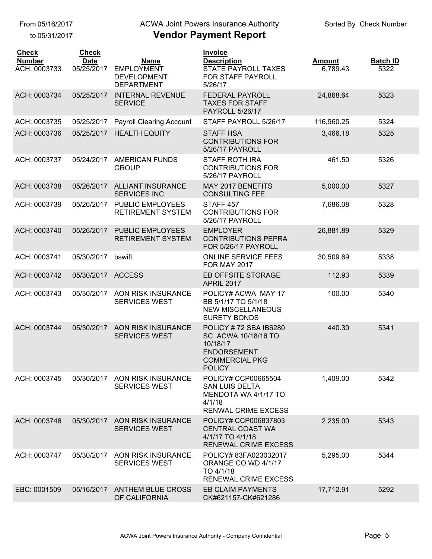to 05/31/2017

# ACWA Joint Powers Insurance Authority

| <b>Check</b><br><b>Number</b><br>ACH: 0003733 | <b>Check</b><br><b>Date</b><br>05/25/2017 | <b>Name</b><br><b>EMPLOYMENT</b><br><b>DEVELOPMENT</b><br><b>DEPARTMENT</b> | <b>Invoice</b><br><b>Description</b><br><b>STATE PAYROLL TAXES</b><br>FOR STAFF PAYROLL<br>5/26/17                       | <b>Amount</b><br>6,789.43 | <b>Batch ID</b><br>5322 |
|-----------------------------------------------|-------------------------------------------|-----------------------------------------------------------------------------|--------------------------------------------------------------------------------------------------------------------------|---------------------------|-------------------------|
| ACH: 0003734                                  | 05/25/2017                                | <b>INTERNAL REVENUE</b><br><b>SERVICE</b>                                   | <b>FEDERAL PAYROLL</b><br><b>TAXES FOR STAFF</b><br><b>PAYROLL 5/26/17</b>                                               | 24,868.64                 | 5323                    |
| ACH: 0003735                                  | 05/25/2017                                | <b>Payroll Clearing Account</b>                                             | STAFF PAYROLL 5/26/17                                                                                                    | 116,960.25                | 5324                    |
| ACH: 0003736                                  | 05/25/2017                                | <b>HEALTH EQUITY</b>                                                        | <b>STAFF HSA</b><br><b>CONTRIBUTIONS FOR</b><br>5/26/17 PAYROLL                                                          | 3,466.18                  | 5325                    |
| ACH: 0003737                                  | 05/24/2017                                | <b>AMERICAN FUNDS</b><br><b>GROUP</b>                                       | <b>STAFF ROTH IRA</b><br><b>CONTRIBUTIONS FOR</b><br>5/26/17 PAYROLL                                                     | 461.50                    | 5326                    |
| ACH: 0003738                                  | 05/26/2017                                | <b>ALLIANT INSURANCE</b><br><b>SERVICES INC</b>                             | MAY 2017 BENEFITS<br><b>CONSULTING FEE</b>                                                                               | 5,000.00                  | 5327                    |
| ACH: 0003739                                  | 05/26/2017                                | <b>PUBLIC EMPLOYEES</b><br><b>RETIREMENT SYSTEM</b>                         | STAFF <sub>457</sub><br><b>CONTRIBUTIONS FOR</b><br>5/26/17 PAYROLL                                                      | 7,686.08                  | 5328                    |
| ACH: 0003740                                  | 05/26/2017                                | <b>PUBLIC EMPLOYEES</b><br><b>RETIREMENT SYSTEM</b>                         | <b>EMPLOYER</b><br><b>CONTRIBUTIONS PEPRA</b><br>FOR 5/26/17 PAYROLL                                                     | 26,881.89                 | 5329                    |
| ACH: 0003741                                  | 05/30/2017                                | bswift                                                                      | <b>ONLINE SERVICE FEES</b><br><b>FOR MAY 2017</b>                                                                        | 30,509.69                 | 5338                    |
| ACH: 0003742                                  | 05/30/2017                                | <b>ACCESS</b>                                                               | EB OFFSITE STORAGE<br><b>APRIL 2017</b>                                                                                  | 112.93                    | 5339                    |
| ACH: 0003743                                  | 05/30/2017                                | <b>AON RISK INSURANCE</b><br><b>SERVICES WEST</b>                           | POLICY# ACWA MAY 17<br>BB 5/1/17 TO 5/1/18<br><b>NEW MISCELLANEOUS</b><br><b>SURETY BONDS</b>                            | 100.00                    | 5340                    |
| ACH: 0003744                                  | 05/30/2017                                | AON RISK INSURANCE<br><b>SERVICES WEST</b>                                  | POLICY #72 SBA IB6280<br>SC ACWA 10/18/16 TO<br>10/18/17<br><b>ENDORSEMENT</b><br><b>COMMERCIAL PKG</b><br><b>POLICY</b> | 440.30                    | 5341                    |
| ACH: 0003745                                  | 05/30/2017                                | AON RISK INSURANCE<br><b>SERVICES WEST</b>                                  | POLICY# CCP00665504<br><b>SAN LUIS DELTA</b><br>MENDOTA WA 4/1/17 TO<br>4/1/18<br>RENWAL CRIME EXCESS                    | 1,409.00                  | 5342                    |
| ACH: 0003746                                  | 05/30/2017                                | AON RISK INSURANCE<br><b>SERVICES WEST</b>                                  | POLICY# CCP006837803<br><b>CENTRAL COAST WA</b><br>4/1/17 TO 4/1/18<br><b>RENEWAL CRIME EXCESS</b>                       | 2,235.00                  | 5343                    |
| ACH: 0003747                                  | 05/30/2017                                | AON RISK INSURANCE<br><b>SERVICES WEST</b>                                  | POLICY# 83FA023032017<br>ORANGE CO WD 4/1/17<br>TO 4/1/18<br><b>RENEWAL CRIME EXCESS</b>                                 | 5,295.00                  | 5344                    |
| EBC: 0001509                                  |                                           | 05/16/2017 ANTHEM BLUE CROSS<br>OF CALIFORNIA                               | <b>EB CLAIM PAYMENTS</b><br>CK#621157-CK#621286                                                                          | 17,712.91                 | 5292                    |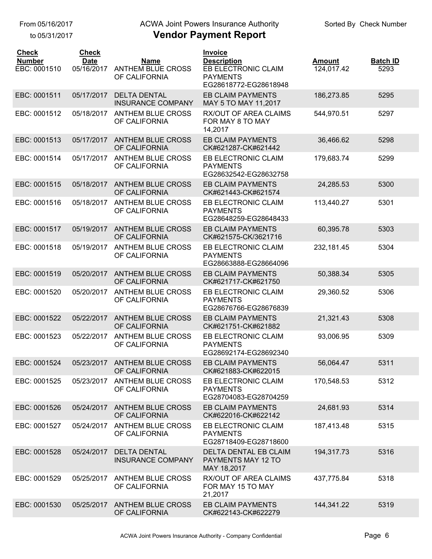to 05/31/2017

## ACWA Joint Powers Insurance Authority

| <b>Check</b><br><b>Number</b> | <b>Check</b><br><b>Date</b> | <b>Name</b>                                     | Invoice<br><b>Description</b>                                          | <b>Amount</b> | <b>Batch ID</b> |
|-------------------------------|-----------------------------|-------------------------------------------------|------------------------------------------------------------------------|---------------|-----------------|
| EBC: 0001510                  | 05/16/2017                  | ANTHEM BLUE CROSS<br>OF CALIFORNIA              | <b>EB ELECTRONIC CLAIM</b><br><b>PAYMENTS</b><br>EG28618772-EG28618948 | 124,017.42    | 5293            |
| EBC: 0001511                  | 05/17/2017                  | <b>DELTA DENTAL</b><br><b>INSURANCE COMPANY</b> | EB CLAIM PAYMENTS<br>MAY 5 TO MAY 11,2017                              | 186,273.85    | 5295            |
| EBC: 0001512                  | 05/18/2017                  | <b>ANTHEM BLUE CROSS</b><br>OF CALIFORNIA       | RX/OUT OF AREA CLAIMS<br>FOR MAY 8 TO MAY<br>14,2017                   | 544,970.51    | 5297            |
| EBC: 0001513                  | 05/17/2017                  | <b>ANTHEM BLUE CROSS</b><br>OF CALIFORNIA       | <b>EB CLAIM PAYMENTS</b><br>CK#621287-CK#621442                        | 36,466.62     | 5298            |
| EBC: 0001514                  | 05/17/2017                  | <b>ANTHEM BLUE CROSS</b><br>OF CALIFORNIA       | EB ELECTRONIC CLAIM<br><b>PAYMENTS</b><br>EG28632542-EG28632758        | 179,683.74    | 5299            |
| EBC: 0001515                  | 05/18/2017                  | <b>ANTHEM BLUE CROSS</b><br>OF CALIFORNIA       | <b>EB CLAIM PAYMENTS</b><br>CK#621443-CK#621574                        | 24,285.53     | 5300            |
| EBC: 0001516                  | 05/18/2017                  | <b>ANTHEM BLUE CROSS</b><br>OF CALIFORNIA       | EB ELECTRONIC CLAIM<br><b>PAYMENTS</b><br>EG28648259-EG28648433        | 113,440.27    | 5301            |
| EBC: 0001517                  | 05/19/2017                  | <b>ANTHEM BLUE CROSS</b><br>OF CALIFORNIA       | <b>EB CLAIM PAYMENTS</b><br>CK#621575-CK/3621716                       | 60,395.78     | 5303            |
| EBC: 0001518                  | 05/19/2017                  | <b>ANTHEM BLUE CROSS</b><br>OF CALIFORNIA       | EB ELECTRONIC CLAIM<br><b>PAYMENTS</b><br>EG28663888-EG28664096        | 232, 181.45   | 5304            |
| EBC: 0001519                  | 05/20/2017                  | <b>ANTHEM BLUE CROSS</b><br>OF CALIFORNIA       | <b>EB CLAIM PAYMENTS</b><br>CK#621717-CK#621750                        | 50,388.34     | 5305            |
| EBC: 0001520                  | 05/20/2017                  | ANTHEM BLUE CROSS<br>OF CALIFORNIA              | EB ELECTRONIC CLAIM<br><b>PAYMENTS</b><br>EG28676766-EG28676839        | 29,360.52     | 5306            |
| EBC: 0001522                  | 05/22/2017                  | <b>ANTHEM BLUE CROSS</b><br>OF CALIFORNIA       | <b>EB CLAIM PAYMENTS</b><br>CK#621751-CK#621882                        | 21,321.43     | 5308            |
| EBC: 0001523                  | 05/22/2017                  | <b>ANTHEM BLUE CROSS</b><br>OF CALIFORNIA       | EB ELECTRONIC CLAIM<br><b>PAYMENTS</b><br>EG28692174-EG28692340        | 93,006.95     | 5309            |
| EBC: 0001524                  |                             | 05/23/2017 ANTHEM BLUE CROSS<br>OF CALIFORNIA   | <b>EB CLAIM PAYMENTS</b><br>CK#621883-CK#622015                        | 56,064.47     | 5311            |
| EBC: 0001525                  | 05/23/2017                  | <b>ANTHEM BLUE CROSS</b><br>OF CALIFORNIA       | EB ELECTRONIC CLAIM<br><b>PAYMENTS</b><br>EG28704083-EG28704259        | 170,548.53    | 5312            |
| EBC: 0001526                  | 05/24/2017                  | <b>ANTHEM BLUE CROSS</b><br>OF CALIFORNIA       | EB CLAIM PAYMENTS<br>CK#622016-CK#622142                               | 24,681.93     | 5314            |
| EBC: 0001527                  | 05/24/2017                  | <b>ANTHEM BLUE CROSS</b><br>OF CALIFORNIA       | EB ELECTRONIC CLAIM<br><b>PAYMENTS</b><br>EG28718409-EG28718600        | 187,413.48    | 5315            |
| EBC: 0001528                  | 05/24/2017                  | <b>DELTA DENTAL</b><br><b>INSURANCE COMPANY</b> | DELTA DENTAL EB CLAIM<br>PAYMENTS MAY 12 TO<br>MAY 18,2017             | 194,317.73    | 5316            |
| EBC: 0001529                  | 05/25/2017                  | <b>ANTHEM BLUE CROSS</b><br>OF CALIFORNIA       | RX/OUT OF AREA CLAIMS<br>FOR MAY 15 TO MAY<br>21,2017                  | 437,775.84    | 5318            |
| EBC: 0001530                  | 05/25/2017                  | <b>ANTHEM BLUE CROSS</b><br>OF CALIFORNIA       | <b>EB CLAIM PAYMENTS</b><br>CK#622143-CK#622279                        | 144,341.22    | 5319            |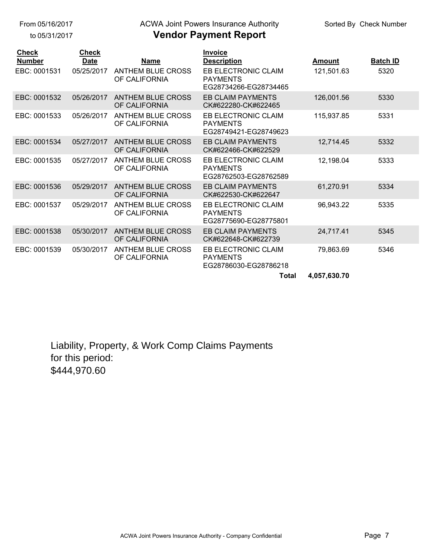to 05/31/2017

# ACWA Joint Powers Insurance Authority

## **Vendor Payment Report**

| <b>Check</b>  | <b>Check</b> |                                           | <b>Invoice</b>                                                         |               |                 |
|---------------|--------------|-------------------------------------------|------------------------------------------------------------------------|---------------|-----------------|
| <b>Number</b> | <b>Date</b>  | <b>Name</b>                               | <b>Description</b>                                                     | <b>Amount</b> | <b>Batch ID</b> |
| EBC: 0001531  | 05/25/2017   | <b>ANTHEM BLUE CROSS</b><br>OF CALIFORNIA | <b>EB ELECTRONIC CLAIM</b><br><b>PAYMENTS</b><br>EG28734266-EG28734465 | 121,501.63    | 5320            |
| EBC: 0001532  | 05/26/2017   | <b>ANTHEM BLUE CROSS</b><br>OF CALIFORNIA | <b>EB CLAIM PAYMENTS</b><br>CK#622280-CK#622465                        | 126,001.56    | 5330            |
| EBC: 0001533  | 05/26/2017   | <b>ANTHEM BLUE CROSS</b><br>OF CALIFORNIA | EB ELECTRONIC CLAIM<br><b>PAYMENTS</b><br>EG28749421-EG28749623        | 115.937.85    | 5331            |
| EBC: 0001534  | 05/27/2017   | <b>ANTHEM BLUE CROSS</b><br>OF CALIFORNIA | <b>EB CLAIM PAYMENTS</b><br>CK#622466-CK#622529                        | 12,714.45     | 5332            |
| EBC: 0001535  | 05/27/2017   | <b>ANTHEM BLUE CROSS</b><br>OF CALIFORNIA | EB ELECTRONIC CLAIM<br><b>PAYMENTS</b><br>EG28762503-EG28762589        | 12,198.04     | 5333            |
| EBC: 0001536  | 05/29/2017   | <b>ANTHEM BLUE CROSS</b><br>OF CALIFORNIA | <b>EB CLAIM PAYMENTS</b><br>CK#622530-CK#622647                        | 61,270.91     | 5334            |
| EBC: 0001537  | 05/29/2017   | <b>ANTHEM BLUE CROSS</b><br>OF CALIFORNIA | EB ELECTRONIC CLAIM<br><b>PAYMENTS</b><br>EG28775690-EG28775801        | 96,943.22     | 5335            |
| EBC: 0001538  | 05/30/2017   | <b>ANTHEM BLUE CROSS</b><br>OF CALIFORNIA | <b>EB CLAIM PAYMENTS</b><br>CK#622648-CK#622739                        | 24,717.41     | 5345            |
| EBC: 0001539  | 05/30/2017   | <b>ANTHEM BLUE CROSS</b><br>OF CALIFORNIA | EB ELECTRONIC CLAIM<br><b>PAYMENTS</b><br>EG28786030-EG28786218        | 79,863.69     | 5346            |
|               |              |                                           | <b>Total</b>                                                           | 4,057,630.70  |                 |

Liability, Property, & Work Comp Claims Payments for this period: \$444,970.60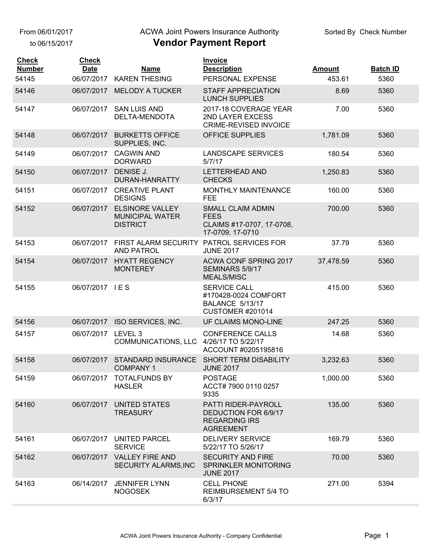From 06/01/2017

to 06/15/2017

#### ACWA Joint Powers Insurance Authority

| <b>Check</b><br><b>Number</b> | <b>Check</b><br><b>Date</b> | <b>Name</b>                                                   | <b>Invoice</b><br><b>Description</b>                                                     | <b>Amount</b> | <b>Batch ID</b> |
|-------------------------------|-----------------------------|---------------------------------------------------------------|------------------------------------------------------------------------------------------|---------------|-----------------|
| 54145                         | 06/07/2017                  | <b>KAREN THESING</b>                                          | PERSONAL EXPENSE                                                                         | 453.61        | 5360            |
| 54146                         | 06/07/2017                  | <b>MELODY A TUCKER</b>                                        | <b>STAFF APPRECIATION</b><br><b>LUNCH SUPPLIES</b>                                       | 8.69          | 5360            |
| 54147                         | 06/07/2017                  | <b>SAN LUIS AND</b><br>DELTA-MENDOTA                          | 2017-18 COVERAGE YEAR<br>2ND LAYER EXCESS<br><b>CRIME-REVISED INVOICE</b>                | 7.00          | 5360            |
| 54148                         | 06/07/2017                  | <b>BURKETTS OFFICE</b><br>SUPPLIES, INC.                      | <b>OFFICE SUPPLIES</b>                                                                   | 1,781.09      | 5360            |
| 54149                         | 06/07/2017                  | <b>CAGWIN AND</b><br><b>DORWARD</b>                           | <b>LANDSCAPE SERVICES</b><br>5/7/17                                                      | 180.54        | 5360            |
| 54150                         | 06/07/2017                  | DENISE J.<br>DURAN-HANRATTY                                   | <b>LETTERHEAD AND</b><br><b>CHECKS</b>                                                   | 1,250.83      | 5360            |
| 54151                         | 06/07/2017                  | <b>CREATIVE PLANT</b><br><b>DESIGNS</b>                       | <b>MONTHLY MAINTENANCE</b><br><b>FEE</b>                                                 | 160.00        | 5360            |
| 54152                         | 06/07/2017                  | <b>ELSINORE VALLEY</b><br>MUNICIPAL WATER<br><b>DISTRICT</b>  | <b>SMALL CLAIM ADMIN</b><br><b>FEES</b><br>CLAIMS #17-0707, 17-0708,<br>17-0709, 17-0710 | 700.00        | 5360            |
| 54153                         | 06/07/2017                  | FIRST ALARM SECURITY PATROL SERVICES FOR<br><b>AND PATROL</b> | <b>JUNE 2017</b>                                                                         | 37.79         | 5360            |
| 54154                         | 06/07/2017                  | <b>HYATT REGENCY</b><br><b>MONTEREY</b>                       | <b>ACWA CONF SPRING 2017</b><br>SEMINARS 5/9/17<br><b>MEALS/MISC</b>                     | 37,478.59     | 5360            |
| 54155                         | 06/07/2017                  | IES                                                           | SERVICE CALL<br>#170428-0024 COMFORT<br>BALANCE 5/13/17<br><b>CUSTOMER #201014</b>       | 415.00        | 5360            |
| 54156                         |                             | 06/07/2017 ISO SERVICES, INC.                                 | UF CLAIMS MONO-LINE                                                                      | 247.25        | 5360            |
| 54157                         | 06/07/2017                  | LEVEL 3<br>COMMUNICATIONS, LLC                                | <b>CONFERENCE CALLS</b><br>4/26/17 TO 5/22/17<br>ACCOUNT #0205195816                     | 14.68         | 5360            |
| 54158                         | 06/07/2017                  | STANDARD INSURANCE<br><b>COMPANY 1</b>                        | <b>SHORT TERM DISABILITY</b><br><b>JUNE 2017</b>                                         | 3,232.63      | 5360            |
| 54159                         |                             | 06/07/2017 TOTALFUNDS BY<br><b>HASLER</b>                     | <b>POSTAGE</b><br>ACCT# 7900 0110 0257<br>9335                                           | 1,000.00      | 5360            |
| 54160                         | 06/07/2017                  | UNITED STATES<br><b>TREASURY</b>                              | PATTI RIDER-PAYROLL<br>DEDUCTION FOR 6/9/17<br><b>REGARDING IRS</b><br><b>AGREEMENT</b>  | 135.00        | 5360            |
| 54161                         |                             | 06/07/2017 UNITED PARCEL<br><b>SERVICE</b>                    | <b>DELIVERY SERVICE</b><br>5/22/17 TO 5/26/17                                            | 169.79        | 5360            |
| 54162                         | 06/07/2017                  | <b>VALLEY FIRE AND</b><br>SECURITY ALARMS, INC                | <b>SECURITY AND FIRE</b><br>SPRINKLER MONITORING<br><b>JUNE 2017</b>                     | 70.00         | 5360            |
| 54163                         | 06/14/2017                  | <b>JENNIFER LYNN</b><br><b>NOGOSEK</b>                        | <b>CELL PHONE</b><br><b>REIMBURSEMENT 5/4 TO</b><br>6/3/17                               | 271.00        | 5394            |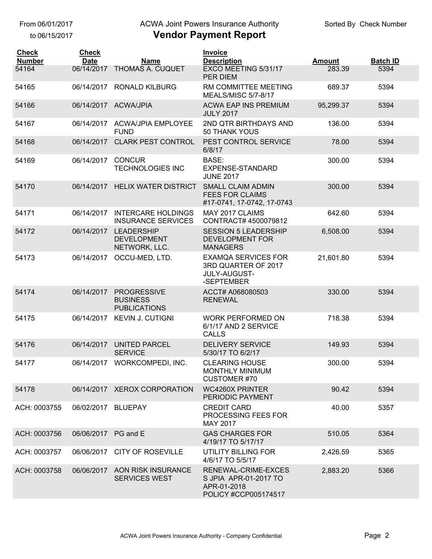## ACWA Joint Powers Insurance Authority

|  | <b>Vendor Payment Report</b> |  |
|--|------------------------------|--|
|--|------------------------------|--|

| <b>Check</b>           | <b>Check</b><br><b>Date</b> |                                                              | Invoice                                                                                |                         |                         |
|------------------------|-----------------------------|--------------------------------------------------------------|----------------------------------------------------------------------------------------|-------------------------|-------------------------|
| <b>Number</b><br>54164 | 06/14/2017                  | <b>Name</b><br><b>THOMAS A. CUQUET</b>                       | <b>Description</b><br>EXCO MEETING 5/31/17<br><b>PER DIEM</b>                          | <b>Amount</b><br>283.39 | <b>Batch ID</b><br>5394 |
| 54165                  | 06/14/2017                  | <b>RONALD KILBURG</b>                                        | RM COMMITTEE MEETING<br><b>MEALS/MISC 5/7-8/17</b>                                     | 689.37                  | 5394                    |
| 54166                  |                             | 06/14/2017 ACWA/JPIA                                         | <b>ACWA EAP INS PREMIUM</b><br><b>JULY 2017</b>                                        | 95,299.37               | 5394                    |
| 54167                  | 06/14/2017                  | <b>ACWA/JPIA EMPLOYEE</b><br><b>FUND</b>                     | 2ND QTR BIRTHDAYS AND<br><b>50 THANK YOUS</b>                                          | 136.00                  | 5394                    |
| 54168                  | 06/14/2017                  | <b>CLARK PEST CONTROL</b>                                    | PEST CONTROL SERVICE<br>6/8/17                                                         | 78.00                   | 5394                    |
| 54169                  | 06/14/2017                  | <b>CONCUR</b><br><b>TECHNOLOGIES INC</b>                     | BASE:<br>EXPENSE-STANDARD<br><b>JUNE 2017</b>                                          | 300.00                  | 5394                    |
| 54170                  |                             | 06/14/2017 HELIX WATER DISTRICT                              | <b>SMALL CLAIM ADMIN</b><br><b>FEES FOR CLAIMS</b><br>#17-0741, 17-0742, 17-0743       | 300.00                  | 5394                    |
| 54171                  | 06/14/2017                  | <b>INTERCARE HOLDINGS</b><br><b>INSURANCE SERVICES</b>       | MAY 2017 CLAIMS<br>CONTRACT# 4500079812                                                | 642.60                  | 5394                    |
| 54172                  | 06/14/2017                  | <b>LEADERSHIP</b><br><b>DEVELOPMENT</b><br>NETWORK, LLC.     | <b>SESSION 5 LEADERSHIP</b><br><b>DEVELOPMENT FOR</b><br><b>MANAGERS</b>               | 6,508.00                | 5394                    |
| 54173                  | 06/14/2017                  | OCCU-MED, LTD.                                               | <b>EXAMQA SERVICES FOR</b><br>3RD QUARTER OF 2017<br><b>JULY-AUGUST-</b><br>-SEPTEMBER | 21,601.80               | 5394                    |
| 54174                  | 06/14/2017                  | <b>PROGRESSIVE</b><br><b>BUSINESS</b><br><b>PUBLICATIONS</b> | ACCT# A068080503<br><b>RENEWAL</b>                                                     | 330.00                  | 5394                    |
| 54175                  | 06/14/2017                  | <b>KEVIN J. CUTIGNI</b>                                      | <b>WORK PERFORMED ON</b><br>6/1/17 AND 2 SERVICE<br><b>CALLS</b>                       | 718.38                  | 5394                    |
| 54176                  |                             | 06/14/2017 UNITED PARCEL<br><b>SERVICE</b>                   | <b>DELIVERY SERVICE</b><br>5/30/17 TO 6/2/17                                           | 149.93                  | 5394                    |
| 54177                  |                             | 06/14/2017 WORKCOMPEDI, INC.                                 | <b>CLEARING HOUSE</b><br>MONTHLY MINIMUM<br><b>CUSTOMER #70</b>                        | 300.00                  | 5394                    |
| 54178                  |                             | 06/14/2017 XEROX CORPORATION                                 | <b>WC4260X PRINTER</b><br>PERIODIC PAYMENT                                             | 90.42                   | 5394                    |
| ACH: 0003755           | 06/02/2017 BLUEPAY          |                                                              | <b>CREDIT CARD</b><br>PROCESSING FEES FOR<br>MAY 2017                                  | 40.00                   | 5357                    |
| ACH: 0003756           | 06/06/2017 PG and E         |                                                              | <b>GAS CHARGES FOR</b><br>4/19/17 TO 5/17/17                                           | 510.05                  | 5364                    |
| ACH: 0003757           |                             | 06/06/2017 CITY OF ROSEVILLE                                 | UTILITY BILLING FOR<br>4/6/17 TO 5/5/17                                                | 2,426.59                | 5365                    |
| ACH: 0003758           |                             | 06/06/2017 AON RISK INSURANCE<br><b>SERVICES WEST</b>        | RENEWAL-CRIME-EXCES<br>S JPIA APR-01-2017 TO<br>APR-01-2018<br>POLICY #CCP005174517    | 2,883.20                | 5366                    |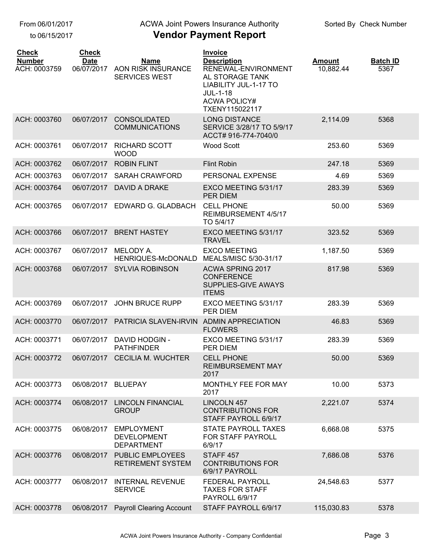### ACWA Joint Powers Insurance Authority

| <b>Check</b><br><b>Number</b><br>ACH: 0003759 | <b>Check</b><br><b>Date</b><br>06/07/2017 | Name<br>AON RISK INSURANCE<br><b>SERVICES WEST</b>           | Invoice<br><b>Description</b><br>RENEWAL-ENVIRONMENT<br>AL STORAGE TANK<br>LIABILITY JUL-1-17 TO<br><b>JUL-1-18</b><br><b>ACWA POLICY#</b><br>TXENY115022117 | <b>Amount</b><br>10,882.44 | <b>Batch ID</b><br>5367 |
|-----------------------------------------------|-------------------------------------------|--------------------------------------------------------------|--------------------------------------------------------------------------------------------------------------------------------------------------------------|----------------------------|-------------------------|
| ACH: 0003760                                  | 06/07/2017                                | <b>CONSOLIDATED</b><br><b>COMMUNICATIONS</b>                 | <b>LONG DISTANCE</b><br>SERVICE 3/28/17 TO 5/9/17<br>ACCT# 916-774-7040/0                                                                                    | 2,114.09                   | 5368                    |
| ACH: 0003761                                  | 06/07/2017                                | <b>RICHARD SCOTT</b><br><b>WOOD</b>                          | <b>Wood Scott</b>                                                                                                                                            | 253.60                     | 5369                    |
| ACH: 0003762                                  | 06/07/2017                                | <b>ROBIN FLINT</b>                                           | <b>Flint Robin</b>                                                                                                                                           | 247.18                     | 5369                    |
| ACH: 0003763                                  | 06/07/2017                                | <b>SARAH CRAWFORD</b>                                        | PERSONAL EXPENSE                                                                                                                                             | 4.69                       | 5369                    |
| ACH: 0003764                                  | 06/07/2017                                | DAVID A DRAKE                                                | EXCO MEETING 5/31/17<br><b>PER DIEM</b>                                                                                                                      | 283.39                     | 5369                    |
| ACH: 0003765                                  | 06/07/2017                                | EDWARD G. GLADBACH                                           | <b>CELL PHONE</b><br>REIMBURSEMENT 4/5/17<br>TO 5/4/17                                                                                                       | 50.00                      | 5369                    |
| ACH: 0003766                                  | 06/07/2017                                | <b>BRENT HASTEY</b>                                          | EXCO MEETING 5/31/17<br><b>TRAVEL</b>                                                                                                                        | 323.52                     | 5369                    |
| ACH: 0003767                                  | 06/07/2017                                | MELODY A.<br>HENRIQUES-McDONALD                              | <b>EXCO MEETING</b><br>MEALS/MISC 5/30-31/17                                                                                                                 | 1,187.50                   | 5369                    |
| ACH: 0003768                                  | 06/07/2017                                | <b>SYLVIA ROBINSON</b>                                       | ACWA SPRING 2017<br><b>CONFERENCE</b><br>SUPPLIES-GIVE AWAYS<br><b>ITEMS</b>                                                                                 | 817.98                     | 5369                    |
| ACH: 0003769                                  | 06/07/2017                                | <b>JOHN BRUCE RUPP</b>                                       | EXCO MEETING 5/31/17<br>PER DIEM                                                                                                                             | 283.39                     | 5369                    |
| ACH: 0003770                                  | 06/07/2017                                | PATRICIA SLAVEN-IRVIN                                        | <b>ADMIN APPRECIATION</b><br><b>FLOWERS</b>                                                                                                                  | 46.83                      | 5369                    |
| ACH: 0003771                                  | 06/07/2017                                | <b>DAVID HODGIN -</b><br><b>PATHFINDER</b>                   | EXCO MEETING 5/31/17<br>PER DIEM                                                                                                                             | 283.39                     | 5369                    |
| ACH: 0003772                                  | 06/07/2017                                | <b>CECILIA M. WUCHTER</b>                                    | <b>CELL PHONE</b><br>REIMBURSEMENT MAY<br>2017                                                                                                               | 50.00                      | 5369                    |
| ACH: 0003773                                  | 06/08/2017                                | <b>BLUEPAY</b>                                               | MONTHLY FEE FOR MAY<br>2017                                                                                                                                  | 10.00                      | 5373                    |
| ACH: 0003774                                  | 06/08/2017                                | <b>LINCOLN FINANCIAL</b><br><b>GROUP</b>                     | <b>LINCOLN 457</b><br><b>CONTRIBUTIONS FOR</b><br>STAFF PAYROLL 6/9/17                                                                                       | 2,221.07                   | 5374                    |
| ACH: 0003775                                  | 06/08/2017                                | <b>EMPLOYMENT</b><br><b>DEVELOPMENT</b><br><b>DEPARTMENT</b> | STATE PAYROLL TAXES<br>FOR STAFF PAYROLL<br>6/9/17                                                                                                           | 6,668.08                   | 5375                    |
| ACH: 0003776                                  | 06/08/2017                                | <b>PUBLIC EMPLOYEES</b><br>RETIREMENT SYSTEM                 | STAFF <sub>457</sub><br><b>CONTRIBUTIONS FOR</b><br>6/9/17 PAYROLL                                                                                           | 7,686.08                   | 5376                    |
| ACH: 0003777                                  | 06/08/2017                                | <b>INTERNAL REVENUE</b><br><b>SERVICE</b>                    | FEDERAL PAYROLL<br><b>TAXES FOR STAFF</b><br>PAYROLL 6/9/17                                                                                                  | 24,548.63                  | 5377                    |
| ACH: 0003778                                  | 06/08/2017                                | <b>Payroll Clearing Account</b>                              | STAFF PAYROLL 6/9/17                                                                                                                                         | 115,030.83                 | 5378                    |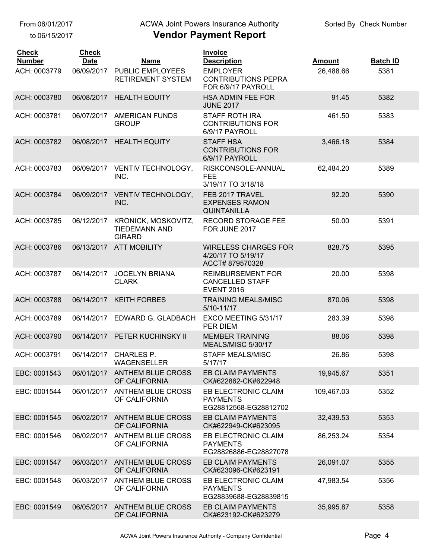## ACWA Joint Powers Insurance Authority

| <b>Check</b><br><b>Number</b> | <b>Check</b><br><b>Date</b> | <b>Name</b>                                                  | <b>Invoice</b><br><b>Description</b>                                    | <b>Amount</b> | <b>Batch ID</b> |
|-------------------------------|-----------------------------|--------------------------------------------------------------|-------------------------------------------------------------------------|---------------|-----------------|
| ACH: 0003779                  | 06/09/2017                  | <b>PUBLIC EMPLOYEES</b><br><b>RETIREMENT SYSTEM</b>          | <b>EMPLOYER</b><br><b>CONTRIBUTIONS PEPRA</b><br>FOR 6/9/17 PAYROLL     | 26,488.66     | 5381            |
| ACH: 0003780                  | 06/08/2017                  | <b>HEALTH EQUITY</b>                                         | <b>HSA ADMIN FEE FOR</b><br><b>JUNE 2017</b>                            | 91.45         | 5382            |
| ACH: 0003781                  | 06/07/2017                  | <b>AMERICAN FUNDS</b><br><b>GROUP</b>                        | <b>STAFF ROTH IRA</b><br><b>CONTRIBUTIONS FOR</b><br>6/9/17 PAYROLL     | 461.50        | 5383            |
| ACH: 0003782                  | 06/08/2017                  | <b>HEALTH EQUITY</b>                                         | <b>STAFF HSA</b><br><b>CONTRIBUTIONS FOR</b><br>6/9/17 PAYROLL          | 3,466.18      | 5384            |
| ACH: 0003783                  | 06/09/2017                  | VENTIV TECHNOLOGY,<br>INC.                                   | RISKCONSOLE-ANNUAL<br><b>FEE</b><br>3/19/17 TO 3/18/18                  | 62,484.20     | 5389            |
| ACH: 0003784                  | 06/09/2017                  | <b>VENTIV TECHNOLOGY,</b><br>INC.                            | FEB 2017 TRAVEL<br><b>EXPENSES RAMON</b><br><b>QUINTANILLA</b>          | 92.20         | 5390            |
| ACH: 0003785                  | 06/12/2017                  | KRONICK, MOSKOVITZ,<br><b>TIEDEMANN AND</b><br><b>GIRARD</b> | <b>RECORD STORAGE FEE</b><br>FOR JUNE 2017                              | 50.00         | 5391            |
| ACH: 0003786                  | 06/13/2017                  | <b>ATT MOBILITY</b>                                          | <b>WIRELESS CHARGES FOR</b><br>4/20/17 TO 5/19/17<br>ACCT#879570328     | 828.75        | 5395            |
| ACH: 0003787                  | 06/14/2017                  | <b>JOCELYN BRIANA</b><br><b>CLARK</b>                        | <b>REIMBURSEMENT FOR</b><br><b>CANCELLED STAFF</b><br><b>EVENT 2016</b> | 20.00         | 5398            |
| ACH: 0003788                  | 06/14/2017                  | <b>KEITH FORBES</b>                                          | <b>TRAINING MEALS/MISC</b><br>5/10-11/17                                | 870.06        | 5398            |
| ACH: 0003789                  | 06/14/2017                  | EDWARD G. GLADBACH                                           | EXCO MEETING 5/31/17<br>PER DIEM                                        | 283.39        | 5398            |
| ACH: 0003790                  |                             | 06/14/2017 PETER KUCHINSKY II                                | <b>MEMBER TRAINING</b><br>MEALS/MISC 5/30/17                            | 88.06         | 5398            |
| ACH: 0003791                  | 06/14/2017                  | <b>CHARLES P.</b><br>WAGENSELLER                             | <b>STAFF MEALS/MISC</b><br>5/17/17                                      | 26.86         | 5398            |
| EBC: 0001543                  |                             | 06/01/2017 ANTHEM BLUE CROSS<br>OF CALIFORNIA                | <b>EB CLAIM PAYMENTS</b><br>CK#622862-CK#622948                         | 19,945.67     | 5351            |
| EBC: 0001544                  | 06/01/2017                  | <b>ANTHEM BLUE CROSS</b><br>OF CALIFORNIA                    | EB ELECTRONIC CLAIM<br><b>PAYMENTS</b><br>EG28812568-EG28812702         | 109,467.03    | 5352            |
| EBC: 0001545                  | 06/02/2017                  | <b>ANTHEM BLUE CROSS</b><br>OF CALIFORNIA                    | <b>EB CLAIM PAYMENTS</b><br>CK#622949-CK#623095                         | 32,439.53     | 5353            |
| EBC: 0001546                  | 06/02/2017                  | <b>ANTHEM BLUE CROSS</b><br>OF CALIFORNIA                    | EB ELECTRONIC CLAIM<br><b>PAYMENTS</b><br>EG28826886-EG28827078         | 86,253.24     | 5354            |
| EBC: 0001547                  | 06/03/2017                  | <b>ANTHEM BLUE CROSS</b><br>OF CALIFORNIA                    | <b>EB CLAIM PAYMENTS</b><br>CK#623096-CK#623191                         | 26,091.07     | 5355            |
| EBC: 0001548                  | 06/03/2017                  | <b>ANTHEM BLUE CROSS</b><br>OF CALIFORNIA                    | EB ELECTRONIC CLAIM<br><b>PAYMENTS</b><br>EG28839688-EG28839815         | 47,983.54     | 5356            |
| EBC: 0001549                  | 06/05/2017                  | <b>ANTHEM BLUE CROSS</b><br>OF CALIFORNIA                    | <b>EB CLAIM PAYMENTS</b><br>CK#623192-CK#623279                         | 35,995.87     | 5358            |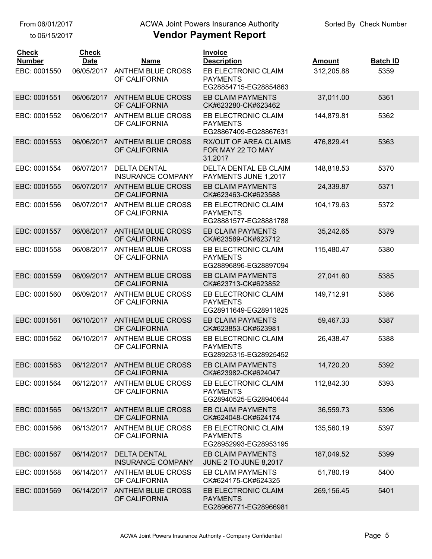## ACWA Joint Powers Insurance Authority

| <b>Check</b><br><b>Number</b> | <b>Check</b><br><b>Date</b> | <b>Name</b>                                     | Invoice<br><b>Description</b>                                   | Amount     | <b>Batch ID</b> |
|-------------------------------|-----------------------------|-------------------------------------------------|-----------------------------------------------------------------|------------|-----------------|
| EBC: 0001550                  | 06/05/2017                  | ANTHEM BLUE CROSS<br>OF CALIFORNIA              | EB ELECTRONIC CLAIM<br><b>PAYMENTS</b><br>EG28854715-EG28854863 | 312,205.88 | 5359            |
| EBC: 0001551                  | 06/06/2017                  | <b>ANTHEM BLUE CROSS</b><br>OF CALIFORNIA       | <b>EB CLAIM PAYMENTS</b><br>CK#623280-CK#623462                 | 37,011.00  | 5361            |
| EBC: 0001552                  | 06/06/2017                  | <b>ANTHEM BLUE CROSS</b><br>OF CALIFORNIA       | EB ELECTRONIC CLAIM<br><b>PAYMENTS</b><br>EG28867409-EG28867631 | 144,879.81 | 5362            |
| EBC: 0001553                  | 06/06/2017                  | <b>ANTHEM BLUE CROSS</b><br>OF CALIFORNIA       | <b>RX/OUT OF AREA CLAIMS</b><br>FOR MAY 22 TO MAY<br>31,2017    | 476,829.41 | 5363            |
| EBC: 0001554                  | 06/07/2017                  | <b>DELTA DENTAL</b><br><b>INSURANCE COMPANY</b> | DELTA DENTAL EB CLAIM<br>PAYMENTS JUNE 1,2017                   | 148,818.53 | 5370            |
| EBC: 0001555                  | 06/07/2017                  | <b>ANTHEM BLUE CROSS</b><br>OF CALIFORNIA       | <b>EB CLAIM PAYMENTS</b><br>CK#623463-CK#623588                 | 24,339.87  | 5371            |
| EBC: 0001556                  | 06/07/2017                  | <b>ANTHEM BLUE CROSS</b><br>OF CALIFORNIA       | EB ELECTRONIC CLAIM<br><b>PAYMENTS</b><br>EG28881577-EG28881788 | 104,179.63 | 5372            |
| EBC: 0001557                  | 06/08/2017                  | <b>ANTHEM BLUE CROSS</b><br>OF CALIFORNIA       | <b>EB CLAIM PAYMENTS</b><br>CK#623589-CK#623712                 | 35,242.65  | 5379            |
| EBC: 0001558                  | 06/08/2017                  | <b>ANTHEM BLUE CROSS</b><br>OF CALIFORNIA       | EB ELECTRONIC CLAIM<br><b>PAYMENTS</b><br>EG28896896-EG28897094 | 115,480.47 | 5380            |
| EBC: 0001559                  | 06/09/2017                  | <b>ANTHEM BLUE CROSS</b><br>OF CALIFORNIA       | <b>EB CLAIM PAYMENTS</b><br>CK#623713-CK#623852                 | 27,041.60  | 5385            |
| EBC: 0001560                  | 06/09/2017                  | ANTHEM BLUE CROSS<br>OF CALIFORNIA              | EB ELECTRONIC CLAIM<br><b>PAYMENTS</b><br>EG28911649-EG28911825 | 149,712.91 | 5386            |
| EBC: 0001561                  | 06/10/2017                  | <b>ANTHEM BLUE CROSS</b><br>OF CALIFORNIA       | <b>EB CLAIM PAYMENTS</b><br>CK#623853-CK#623981                 | 59,467.33  | 5387            |
| EBC: 0001562                  | 06/10/2017                  | ANTHEM BLUE CROSS<br>OF CALIFORNIA              | EB ELECTRONIC CLAIM<br><b>PAYMENTS</b><br>EG28925315-EG28925452 | 26,438.47  | 5388            |
| EBC: 0001563                  |                             | 06/12/2017 ANTHEM BLUE CROSS<br>OF CALIFORNIA   | <b>EB CLAIM PAYMENTS</b><br>CK#623982-CK#624047                 | 14,720.20  | 5392            |
| EBC: 0001564                  | 06/12/2017                  | ANTHEM BLUE CROSS<br>OF CALIFORNIA              | EB ELECTRONIC CLAIM<br><b>PAYMENTS</b><br>EG28940525-EG28940644 | 112,842.30 | 5393            |
| EBC: 0001565                  | 06/13/2017                  | <b>ANTHEM BLUE CROSS</b><br>OF CALIFORNIA       | <b>EB CLAIM PAYMENTS</b><br>CK#624048-CK#624174                 | 36,559.73  | 5396            |
| EBC: 0001566                  | 06/13/2017                  | <b>ANTHEM BLUE CROSS</b><br>OF CALIFORNIA       | EB ELECTRONIC CLAIM<br><b>PAYMENTS</b><br>EG28952993-EG28953195 | 135,560.19 | 5397            |
| EBC: 0001567                  | 06/14/2017                  | <b>DELTA DENTAL</b><br><b>INSURANCE COMPANY</b> | <b>EB CLAIM PAYMENTS</b><br><b>JUNE 2 TO JUNE 8,2017</b>        | 187,049.52 | 5399            |
| EBC: 0001568                  | 06/14/2017                  | <b>ANTHEM BLUE CROSS</b><br>OF CALIFORNIA       | EB CLAIM PAYMENTS<br>CK#624175-CK#624325                        | 51,780.19  | 5400            |
| EBC: 0001569                  | 06/14/2017                  | <b>ANTHEM BLUE CROSS</b><br>OF CALIFORNIA       | EB ELECTRONIC CLAIM<br><b>PAYMENTS</b><br>EG28966771-EG28966981 | 269,156.45 | 5401            |